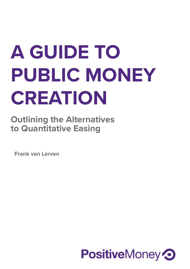# **A GUIDE TO PUBLIC MONEY CREATION**

**Outlining the Alternatives to Quantitative Easing** 

**Frank van Lerven**

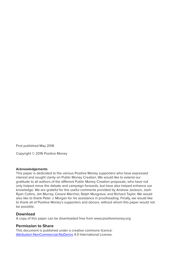First published May 2016

Copyright © 2016 Positive Money

#### **Acknowledgements**

This paper is dedicated to the various Positive Money supporters who have expressed interest and sought clarity on Public Money Creation. We would like to extend our gratitude to all authors of the different Public Money Creation proposals, who have not only helped move the debate and campaign forwards, but have also helped enhance our knowledge. We are grateful for the useful comments provided by Andrew Jackson, Josh-Ryan Collins, Jim Murray, Cesare Marcher, Ralph Musgrave, and Richard Taylor. We would also like to thank Peter J. Morgan for his assistance in proofreading. Finally, we would like to thank all of Positive Money's supporters and donors, without whom this paper would not be possible.

#### **Download**

A copy of this paper can be downloaded free from www.positivemoney.org

#### **Permission to Share**

This document is published under a creative commons licence: Attribution-NonCommercial-NoDerivs 4.0 International License.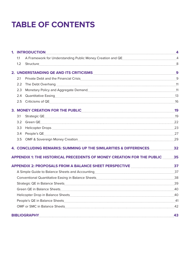## **TABLE OF CONTENTS**

|     | 1. INTRODUCTION 4                                                                         |    |
|-----|-------------------------------------------------------------------------------------------|----|
| 1.1 |                                                                                           |    |
| 1.2 |                                                                                           |    |
|     | 2. UNDERSTANDING QE AND ITS CRITICISMS MARIETY AND RESIDENCE RESIDENCE AND ITS CRITICISMS |    |
| 2.1 |                                                                                           |    |
| 2.2 |                                                                                           |    |
| 2.3 |                                                                                           |    |
| 2.4 |                                                                                           |    |
| 2.5 |                                                                                           |    |
|     | 3. MONEY CREATION FOR THE PUBLIC <b>CONSIDERING THE RIGHT</b> 19                          |    |
| 3.1 |                                                                                           |    |
| 3.2 |                                                                                           |    |
| 3.3 |                                                                                           |    |
| 3.4 |                                                                                           |    |
| 3.5 |                                                                                           |    |
|     | 4. CONCLUDING REMARKS: SUMMING UP THE SIMILARITIES & DIFFERENCES 32                       |    |
|     | APPENDIX 1: THE HISTORICAL PRECEDENTS OF MONEY CREATION FOR THE PUBLIC 35                 |    |
|     | APPENDIX 2: PROPOSALS FROM A BALANCE SHEET PERSPECTIVE <b>MALUATION</b> 37                |    |
|     |                                                                                           |    |
|     |                                                                                           |    |
|     |                                                                                           |    |
|     |                                                                                           |    |
|     |                                                                                           |    |
|     |                                                                                           |    |
|     |                                                                                           |    |
|     |                                                                                           | 43 |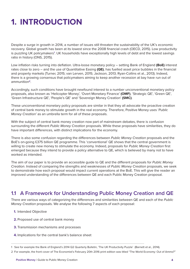### **1. INTRODUCTION**

Despite a surge in growth in 2014, a number of issues still threaten the sustainability of the UK's economic recovery. Global growth has been at its lowest since the 2008 financial crash (OECD, 2015). Low productivity is puzzling UK policymakers<sup>1</sup>. UK households have exceptionally high levels of debt and the lowest savings ratio in history (ONS, 2015).

Low inflation risks turning into deflation. Ultra-loose monetary policy – setting Bank of England **(BoE)** interest rates close to zero – and the use of Quantitative Easing **(QE)**, has fuelled asset price bubbles in the financial and property markets (Turner, 2015; van Lerven, 2015; Jackson, 2013; Ryan-Collins et al., 2013). Indeed, there is a growing consensus that policymakers aiming to keep another recession at bay have run out of ammunition**<sup>2</sup>**.

Accordingly, such conditions have brought newfound interest to a number unconventional monetary policy proposals, also known as 'Helicopter Money', 'Overt Monetary Finance' **(OMF)**, 'Strategic QE', 'Green QE', 'Green Infrastructure QE', 'People's QE' and 'Sovereign Money Creation' **(SMC)**.

These unconventional monetary policy proposals are similar in that they all advocate the proactive creation of central bank money to stimulate growth in the real economy. Therefore, Positive Money uses '*Public Money Creation'* as an umbrella term for all of these proposals.

With the subject of central bank money creation now part of mainstream debates, there is confusion surrounding the different *Public Money Creation* proposals. While these proposals have similarities, they do have important differences, with distinct implications for the economy.

There is also some confusion regarding the differences between *Public Money Creation* proposals and the BoE's on-going £375 billion QE programme. This 'conventional' QE shows that the central government is willing to create new money to stimulate the economy. Indeed, proposals for *Public Money Creation* first emerged because they intend to provide a policy alternative to QE, which is believed by many not to have worked as intended.

The aim of our paper is to provide an accessible guide to QE and the different proposals for *Public Money Creation*. Instead of comparing the strengths and weaknesses of *Public Money Creation* proposals, we seek to demonstrate how each proposal would impact current operations at the BoE. This will give the reader an improved understanding of the differences between QE and each Public Money Creation proposal.

#### **1.1 A Framework for Understanding Public Money Creation and QE**

There are various ways of categorizing the differences and similarities between QE and each of the *Public Money Creation* proposals. We analyse the following 7 aspects of each proposal:

- **1.** Intended Objective
- **2.** Proposed use of central bank money
- **3.** Transmission mechanisms and processes
- **4.** Implications for the central bank's balance sheet

2 For example, the front cover of The Economist's February 20th 2016 print edition was titled "The World Economy: Out of Ammo?"

<sup>1</sup> See for example the Bank of England's 2014 Q2 Quarterly Bulletin, 'The UK Productivity Puzzle' (Barnett et al., 2014).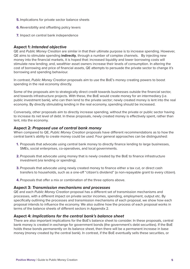- **5.** Implications for private sector balance sheets
- **6.** Reversibility and offsetting policy levers
- **7.** Impact on central bank independence

#### **Aspect 1:** *Intended objective*

QE and *Public Money Creation* are similar in that their ultimate purpose is to increase spending. However, QE aims to stimulate spending **indirectly**, through a number of complex channels. By injecting new money into the financial markets, it is hoped that: increased liquidity and lower borrowing costs will stimulate new lending; and, wealthier asset owners increase their levels of consumption. In altering the cost of borrowing and price of financial assets, QE attempts to persuade the private sector to change it's borrowing and spending behaviour.

In contrast, *Public Money Creation* proposals aim to use the BoE's money creating powers to boost spending in the real economy directly.

Some of the proposals aim to strategically direct credit towards businesses outside the financial sector, and towards infrastructure projects. With these, the BoE would create money for an intermediary (i.e. public investment bank), who can then lend to the private sector; newly created money is lent into the real economy. By directly stimulating lending in the real economy, spending should be increased.

Conversely, other proposals aim to directly increase spending, without the private or public sector having to increase its net level of debt. In these proposals, newly created money is effectively spent, rather than lent, into the economy.

#### **Aspect 2:** *Proposed use of central bank money*

When compared to QE, *Public Money Creation* proposals have different recommendations as to how the central bank's ability to create money could be used. Four general approaches can be distinguished:

- **1.** Proposals that advocate using central bank money to directly finance lending to large businesses, SMEs, social enterprises, co-operatives, and local governments.
- **2.** Proposals that advocate using money that is newly created by the BoE to finance infrastructure investment (via lending or spending).
- **3.** Proposals that advocate using newly created money to finance either a tax cut, or direct cash transfers to households, such as a one-off "citizen's dividend" (a non-repayable grant to every citizen).
- **4.** Proposals that offer a mix or combination of the three options above.

#### **Aspect 3:** *Transmission mechanisms and processes*

QE and each *Public Money Creation* proposal has a different set of transmission mechanisms and processes, with a different impact on private sector incomes, spending, employment, output etc. By specifically outlining the processes and transmission mechanisms of each proposal, we show how each proposal intends to influence the economy. We also outline how the process of each proposal works in terms of the balance sheets of different sectors in Appendix 2.

#### **Aspect 4:** *Implications for the central bank's balance sheet*

There are also important implications for the BoE's balance sheet to consider. In these proposals, central bank money is created in exchange for government bonds (the government's debt securities). If the BoE holds these bonds permanently on its balance sheet, then there will be a permanent increase in base money (money created by the central bank). In contrast, if the BoE eventually sells these securities, or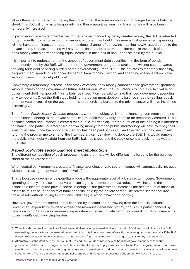allows them to mature without rolling them over**<sup>3</sup>**, then these securities would no longer be on its balance sheet. The BoE will only have temporarily held these securities, meaning base money will have been temporarily increased.

In proposals where government expenditure is to be financed by newly created money, the BoE is intended to permanently hold a corresponding amount of government debt. This means that government spending will not have been financed through the traditional channel of borrowing – selling newly issued bonds to the private sector. Instead, spending will have been financed by a permanent increase in the stock of central bank money (and a corresponding equal increase in the stock of bank deposits held by the public).

It is important to understand that the amount of government debt securities – in the form of bonds – permanently held by the BoE, will not enter the government budget constraint and will not count towards the long-term debt-servicing burden of the government (Turner, 2015). This equates to monetary financing, as government spending is financed by central bank money creation, and spending will have taken place without increasing the net public debt.

Conversely, a temporary increase in the stock of central bank money cannot finance government spending without increasing the government's future debt burden. When the BoE intends to hold a certain value of government debt "temporarily" on its balance sheet, it can be said to have financed government spending only temporarily. Once the BoE stops holding the government debt on its balance sheet, by selling it back to the private sector**<sup>4</sup>**, then the government's debt servicing burden to the private sector will have increased accordingly.

Therefore in *Public Money Creation* proposals, where the objective is not to finance government spending but to finance lending to the private sector, central bank money only needs to be temporarily created. This is because central bank money is created for a public intermediary, for the duration of the lending it is intended to finance. The particular enterprises borrowing money from the public intermediary will have to repay their loans over time. Once the public intermediary has been paid back in full and the decision has been taken to bring the programme to an end, the intermediary can pay down its debt to the BoE. This would remove the public intermediary's debt from the BoE's balance sheet, and the stock of central back money would decrease.

#### **Aspect 5:** *Private sector balance sheet implications*

The different composition of each proposal means that there will be different implications for the balance sheet of the private sector.

When central bank money is created to finance spending, private sector incomes will automatically increase without increasing the private sector's level of debt.

This is because government expenditure boosts the aggregate level of private sector income. Government spending directly increases the private sector's gross income; and a tax reduction will increase the disposable income of the private sector. In doing so, the government increases the net amount of financial assets (in this case, in the form of bank deposits) held by the private sector. The private sector acquired these assets without having to incur any liabilities (i.e. without having to borrow).

However, government expenditure is financed by taxation and borrowing from the financial markets. Government expenditure tends to exceed the revenues generated via tax, and is thus partly financed by new borrowing. So while government expenditure increases private sector incomes it can also increase the government's debt servicing burden.

<sup>3</sup> When bonds mature, the principal of the loan (and all remaining interest) is due to be paid. A 'rollover' would involve the BoE reinvesting the funds from the matured government security into a new issue of exactly the same government security. If the BoE doesn't rollover government securities, it is not using the funds acquired from maturing securities to buy new securities.

<sup>4</sup> Alternatively, if the debt held by the BoE matures and the BoE does not renew its holding of government debt then the government debt would no longer be on its balance sheet. In order to pay down its debt to the BoE, the government would issue new bonds to the private sector – taking out a new loan to pay down an old debt. In which case, the private sector will have been called on to re-finance the government original spending and the government's net debt burden will have increased.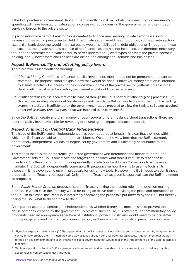If the BoE purchased government debt and permanently held it on its balance sheet, then government's spending will have boosted private sector incomes without increasing the government's long-term debt servicing burden to the private sector.

In proposals where central bank money is created to finance new lending, private sector assets would increase but so would private sector debt. The private sector would need to borrow, so the private sector's assets (i.e. bank deposits) would increase but so would its liabilities (i.e. debt obligations). Throughout these transactions, the private sector's balance of net financial assets has not increased. It is therefore necessary to further deconstruct the private sector, to better understand; 1) what types of assets the private sector is holding, and 2) how assets and liabilities are distributed amongst households and businesses.

#### **Aspect 6:** *Reversibility and offsetting policy levers*

There are two issues worth considering:

- **1.** If *Public Money Creation* is to finance specific investment, then it need not be permanent and can be reversed. The proposal should explain how that would be done. If however money creation is intended to stimulate activity by increasing the disposable income of the private sector (without increasing net debt levels) then it must be credibly permanent and should not be reversed;
- **2.** If inflation starts to rise, then that can be handled through the BoE's normal inflation targeting processes. But this requires an adequate stock of transferrable assets, which the BoE can use to drain money from the banking system. If stocks are insufficient then the government must be prepared to allow the Bank to sell assets acquired under *Public Money Creation* even if that was intended to be permanent**<sup>5</sup>** .

Since the BoE can create and drain money through several different balance sheet transactions, there are different policy levers available for reversing or offsetting the impacts of each proposal.

#### **Aspect 7:** *Impact on Central Bank Independence*

The issue of the BoE's current independence has been debated at length. It is clear that the lines within which the BoE can be said to independent are blurred. We take the view here that the BoE is currently operationally independent, yet has its targets set by government and is ultimately accountable to the government**<sup>6</sup>**.

This means that it is the democratically elected government who determines the mandate for the BoE. Government sets the BoE's objectives and targets and decides what tools it can use to reach those objectives. It is then up to the BoE to independently decide how best to use those tools to achieve its mandate. The BoE will independently come up with proposals on how it wants to use the tools at its disposal – it may even come up with proposals for using new tools. However, the BoE needs to submit those proposals to the Treasury for approval. Only after the Treasury has given its approval, can the BoE implement its proposals.

Some *Public Money Creation* proposals see the Treasury taking the leading role in the decision-making process, in which case the Treasury would be taking an active role in devising the plans and operations of the BoE. In this case, the Treasury is not simply approving the proposals put forward by the BoE, but directly telling the BoE what to do and how to do it.

An important aspect of central bank independence is whether it provides mechanisms to prevent the abuse of money creation by the government. To prevent such abuse, it is often argued that monetary policy proposals need an appropriate separation of institutional powers. Politicians would need to be prevented from being given direct control over money creation, as there is a risk that political pressures could lead

<sup>5</sup> Blyth, Lonergan, and Wren-Lewis (2015) suggest that: "If the Bank ever runs out of the assets it needs to do this, the government can commit to provide them in much the same way as it has already done for potential QE losses. A government that would renege on this commitment and allow inflation is also a government that would abolish the independence of the Bank to achieve that aim."

<sup>6</sup> While our position is that the BoE is operationally independent and accountable to the government, we do believe that this accountability can be substantially improved.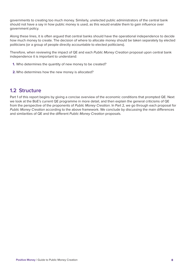governments to creating too much money. Similarly, unelected public administrators of the central bank should not have a say in how public money is used, as this would enable them to gain influence over government policy.

Along these lines, it is often argued that central banks should have the operational independence to decide how much money to create. The decision of where to allocate money should be taken separately by elected politicians (or a group of people directly accountable to elected politicians).

Therefore, when reviewing the impact of QE and each *Public Money Creation* proposal upon central bank independence it is important to understand:

- **1.** Who determines the quantity of new money to be created?
- **2.** Who determines how the new money is allocated?

#### **1.2 Structure**

Part 1 of this report begins by giving a concise overview of the economic conditions that prompted QE. Next we look at the BoE's current QE programme in more detail, and then explain the general criticisms of QE from the perspective of the proponents of *Public Money Creation*. In Part 2, we go through each proposal for *Public Money Creation* according to the above framework. We conclude by discussing the main differences and similarities of QE and the different *Public Money Creation* proposals.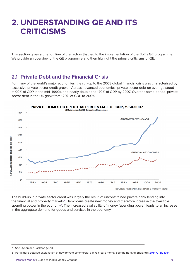### **2. UNDERSTANDING QE AND ITS CRITICISMS**

This section gives a brief outline of the factors that led to the implementation of the BoE's QE programme. We provide an overview of the QE programme and then highlight the primary criticisms of QE.

#### **2.1 Private Debt and the Financial Crisis**

For many of the world's major economies, the run-up to the 2008 global financial crisis was characterised by excessive private sector credit growth. Across advanced economies, private sector debt on average stood at 90% of GDP in the mid- 1990s, and nearly doubled to 170% of GDP by 2007. Over the same period, private sector debt in the UK grew from 120% of GDP to 200%.



The build-up in private sector credit was largely the result of unconstrained private bank lending into the financial and property markets**<sup>7</sup>**. Bank loans create new money and therefore increase the available spending power in the economy<sup>8</sup>. The increased availability of money (spending power) leads to an increase in the aggregate demand for goods and services in the economy.

<sup>7</sup> See Dyson and Jackson (2013).

<sup>8</sup> For a more detailed explanation of how private commercial banks create money see the Bank of England's 2014 Q1 Bulletin.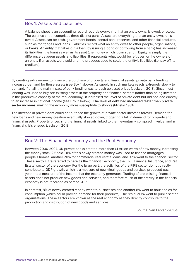#### Box 1: Assets and Liabilities

A balance sheet is an accounting record records everything that an entity owns, is owed, or owes. The balance sheet comprises three distinct parts. Assets are everything that an entity owns or is owed. Assets can be cash, government bonds, central bank reserves, and other financial products, such as mortgages and loans. Liabilities record what an entity owes to other people, organisations, or banks. An entity that takes out a loan (by issuing a bond or borrowing from a bank) has increased its liabilities (the loan) as well as its asset (the money which it can spend). Equity is simply the difference between assets and liabilities. It represents what would be left over for the owners of an entity if all assets were sold and the proceeds used to settle the entity's liabilities (i.e. pay off its creditors).

By creating extra money to finance the purchase of property and financial assets, private bank lending increased demand for these assets (see Box 1 above). As supply in such markets reacts extremely slowly to demand, if at all, the main impact of bank lending was to push up asset prices (Jackson, 2013). Since most lending was used to buy pre-existing assets in the property and financial sectors (rather than being invested in the productive capacity of the real economy), it increased the level of private debt but did not lead directly to an increase in national income (see Box 2 below). **The level of debt had increased faster than private sector incomes**, making the economy more susceptible to shocks (Minsky, 1984).

The increase in private debt could not outpace the growth of private sector incomes forever. Demand for new loans and new money creation eventually slowed down, triggering a fall in demand for property and financial assets. Property prices and the financial assets linked to them eventually collapsed in value, and a financial crisis ensued (Jackson, 2013).

#### Box 2: The Financial Economy and the Real Economy

Between 2000-2007, UK private banks created more than £1 trillion worth of new money, increasing the money stock 2.5-fold. 31% of this newly created money was used to finance mortgages – people's homes, another 20% for commercial real estate loans, and 32% went to the financial sector. These sectors are referred to here as the 'financial' economy, the FIRE (Finance, Insurance, and Real Estate) sector of the economy. For the large part, the activities of the FIRE sector do not directly contribute to GDP growth, which is a measure of new (final) goods and services produced each year and a measure of the income that the economy generates. Trading of pre-existing financial assets does not produce new goods and services, and therefore much of the activity in the financial economy is not recorded as part of GDP.

In contrast, 8% of newly created money went to businesses and another 8% went to households for consumption (which could provide demand for their products). The residual 1% went to public sector organisations. These sectors are known as the real economy as they directly contribute to the production and distribution of new goods and services.

Source: Van Lerven (2015a)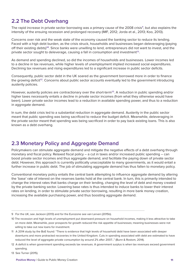#### **2.2 The Debt Overhang**

The rapid increase in private sector borrowing was a primary cause of the 2008 crisis**<sup>9</sup>**, but also explains the intensity of the ensuing recession and prolonged recovery (IMF, 2012; Jorda et al., 2013; Koo, 2013).

Concerns over risk and the weak state of the economy caused the banking sector to reduce its lending. Faced with a high debt burden, as the crisis struck, households and businesses began deleveraging (paying off their existing debts)**<sup>10</sup>**. Since banks were unwilling to lend, entrepreneurs did not want to invest, and the private sector sought to deleverage, causing a fall in consumption and investment**<sup>11</sup>**.

As demand and spending declined, so did the incomes of households and businesses. Lower incomes led to a decline in tax revenues, while higher levels of unemployment implied increased social expenditures. Declining tax revenues and rising expenditures led to a significant increase in public sector deficits.

Consequently, public sector debt in the UK soared as the government borrowed more in order to finance the growing deficit**<sup>12</sup>**. Concerns about public sector accounts eventually led to the government introducing austerity policies.

However, austerity policies are contractionary over the short-term**<sup>13</sup>**. A reduction in public spending and/or higher taxes necessarily entails a decline in private sector incomes (from what they otherwise would have been). Lower private sector incomes lead to a reduction in available spending power, and thus to a reduction in aggregate demand.

In sum, the debt crisis led to a substantial reduction in aggregate demand. Austerity in the public sector meant that public spending was being sacrificed to reduce the budget deficit. Meanwhile, deleveraging in the private sector meant that spending was being sacrificed in order to pay back existing loans. This is also known as a debt overhang.

#### **2.3 Monetary Policy and Aggregate Demand**

Policymakers can stimulate aggregate demand and mitigate the negative effects of a debt overhang through monetary and fiscal policy. Relaxed fiscal policy – a cut in taxes and/or increased public spending – can boost private sector incomes and thus aggregate demand, and facilitate the paying down of private sector debt. However, this approach is currently politically unacceptable to many governments, as it would entail a further increase in public debt. The job of stimulating aggregate demand has thus fallen to monetary policy.

Conventional monetary policy entails the central bank attempting to influence aggregate demand by altering the 'base' rate of interest on the reserves banks hold at the central bank. In turn, this is primarily intended to change the interest rates that banks charge on their lending, changing the level of debt and money created by the private banking sector. Lowering base rates is thus intended to induce banks to lower their interest rates on lending, in order to stimulate private sector borrowing, resulting in more bank money creation, increasing the available purchasing power, and thus boosting aggregate demand.

<sup>9</sup> For the UK, see Jackson (2013) and for the Eurozone see van Lerven (2015b).

<sup>10</sup> The recession and high levels of unemployment put downward pressure on household incomes, making it less attractive to take on more debt. Meanwhile, poor prospects for growth reduced the risk appetite of businesses; meaning businesses were not willing to take out new loans for investment.

<sup>11</sup> A 2014 study by the BoE found: "There is evidence that high levels of household debt have been associated with deeper downturns and more protracted recoveries in the United Kingdom. Cuts in spending associated with debt are estimated to have reduced the level of aggregate private consumption by around 2% after 2007…" (Bunn & Rostom, 2014).

<sup>12</sup> A deficit is when government spending exceeds tax revenues. A government surplus is when tax revenues exceed government spending.

<sup>13</sup> See Turner (2015).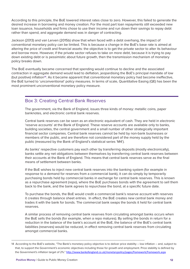According to this principle, the BoE lowered interest rates close to zero. However, this failed to generate the desired increase in borrowing and money creation. For the most part loan repayments still exceeded new loan issuance, households and firms chose to use their income and run down their savings to repay debt rather than spend, and aggregate demand was in danger of contracting.

Jackson (2013) and van Lerven (2015b) show that when faced with a debt overhang, the impact of conventional monetary policy can be limited. This is because a change in the BoE's base rate is aimed at altering the price of credit and financial assets: the objective is to get the private sector to alter its behaviour and borrow more. However, if the private sector refuses to take on more debt, because it is trying to pay down existing debt or is pessimistic about future growth, then the transmission mechanism of monetary policy breaks down.

The BoE eventually became concerned that spending would continue to decline and the associated contraction in aggregate demand would lead to deflation, jeopardising the BoE's principal mandate of low (but positive) inflation**<sup>14</sup>**. As it became apparent that conventional monetary policy had become ineffective, the BoE turned to 'unconventional' policy measures. In terms of scale, Quantitative Easing (QE) has been the most prominent unconventional monetary policy measure.

#### Box 3: Creating Central Bank Reserves

The government, via the Bank of England, issues three kinds of money: metallic coins, paper banknotes, and electronic central bank reserves.

Central bank reserves can be seen as an electronic equivalent of cash. They are held in electronic 'reserve accounts' at the Bank of England. These reserve accounts are available only to banks, building societies, the central government and a small number of other strategically important financial sector companies. Central bank reserves cannot be held by non-bank businesses or members of the public, and are therefore not considered part of the money supply held by the public (measured by the Bank of England's statistical series 'M4').

As banks' respective customers pay each other by transferring deposits (mostly electronically), banks settle any net obligations between themselves by transferring central bank reserves between their accounts at the Bank of England. This means that central bank reserves serve as the final means of settlement between banks.

If the BoE wishes to inject new central bank reserves into the banking system (for example in response to a demand for reserves from a commercial bank), it can do simply by temporarily purchasing bonds held by commercial banks in exchange for central bank reserves. This is known as a repurchase agreement (repo), where the BoE purchases bonds with the agreement to sell them back to the bank, and the bank agrees to repurchase the bond, at a specific future date.

To purchase the bonds, the BoE would credit a commercial bank's reserve account with reserves it creates through balance sheet entries. In effect, the BoE creates new central bank money and trades it with the bank for bonds. The commercial bank swaps the bonds it held for central bank reserves.

A similar process of removing central bank reserves from circulating amongst banks occurs when the BoE sells the bonds (for example, when a repo matures). By selling the bonds in return for a reduction in the balance of the bank's account at the BoE, the balance of the BoE's central bank liabilities (reserves) would be reduced, in effect removing central bank reserves from circulating amongst commercial banks.

<sup>14</sup> According to the BoE's website, "The Bank's monetary policy objective is to deliver price stability – low inflation – and, subject to that, to support the Government's economic objectives including those for growth and employment. Price stability is defined by the Government's inflation target of 2%." http://www.bankofengland.co.uk/monetarypolicy/pages/framework/framework.aspx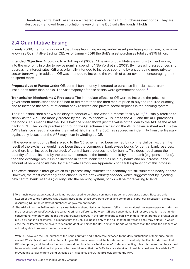Therefore, central bank reserves are created every time the BoE purchases new bonds. They are destroyed (removed from circulation) every time the BoE sells the bonds it holds.

#### **2.4 Quantitative Easing**

In early 2009, the BoE announced that it was launching an expanded asset purchase programme, otherwise known as Quantitative Easing (QE). As of January 2016 the BoE's asset purchases totalled £375 billion.

**Intended Objective:** According to a BoE report (2009), "The aim of quantitative easing is to inject money into the economy in order to revive nominal spending" (Benford et al., 2009). By increasing asset prices and decreasing interest rates, QE was originally intended to increase spending by encouraging more private sector borrowing. In addition, QE was intended to increase the wealth of asset owners – encouraging them to spend more.

**Proposed use of Funds:** Under QE, central bank money is created to purchase financial assets from institutions other than banks. The vast majority of these assets were government bonds**<sup>15</sup>**.

**Transmission Mechanisms & Processes:** The immediate effects of QE were to increase the prices of government bonds (since the BoE had to bid more than the then market price to buy the required quantity) and to increase the amount of central bank reserves and private sector deposits in the banking system.

The BoE established a new subsidiary to conduct QE, the Asset Purchase Facility (APF)**<sup>16</sup>**, usually referred to simply as the APF. The money created by the BoE to finance QE is lent to the APF and the APF purchases the bonds. This means that the BoE's balance sheet shows just the value of the loan to the APF as the asset backing QE. The bonds purchased through the QE scheme are held on the APF's balance sheet and it is the APF's balance sheet that carries the market risk, if any. The BoE has secured an indemnity from the Treasury against any losses that the APF may incur in winding up QE.

If the government bonds that are sold to the QE scheme had been owned by commercial banks, then the result of the exchange would have been that the commercial bank swaps bonds for central bank reserves, and there is an increase in the stock of central bank reserves held by banks. This does not change the quantity of deposits held by the public. In contrast, if the bonds are held by a non-bank (e.g. pension fund), then the exchange results in an increase in central bank reserves held by banks and an increase in the amount of bank deposits held by the private sector (see Appendix 2 for a full explanation of this process).

The exact channels through which this process may influence the economy are still subject to heavy debate. However, the most commonly cited channel is the *bank-lending channel*, which suggests that by injecting new central bank reserves (liquidity) into the banking system, banks will be more willing to lend.

16 The APF allows the BoE to maintain a clear balance sheet distinction between QE and conventional monetary operations, despite the processes being effectively the same. A primary difference between QE and conventional BoE reserve creation is that under conventional monetary operations the BoE creates reserves in the form of loans to banks with government bonds of greater value put up by banks as collateral. This means that the BoE is exposed only to the risk that the borrowing bank may default, in which case the collateral may be sold to redeem the debt, and since the BoE demands bonds worth more than the debt, the chances of not being able to redeem the debt are small.

 With QE, however, the BoE purchases the bonds outright and is therefore exposed to the daily fluctuations of their price on the market. Whilst this should not matter so long as QE is maintained and the bonds are held to maturity, the BoE has declared that QE is temporary and therefore the bonds would be classified as 'held for sale.' Under accounting rules this means that they should be regularly revalued at market prices, which would mean that the BoE's balance sheet would exhibit considerable variability. To prevent this variability from being exhibited on its balance sheet, the BoE established the APF.

<sup>15</sup> To a much lesser extent central bank money was used to purchase commercial paper and corporate bonds. Because only £0.5bn of the £375bn created was actually used to purchase corporate bonds and commercial paper our discussion is limited to discussing QE in the context of purchases of government bonds.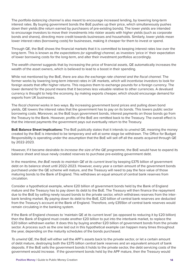The *portfolio-balancing channel* is also meant to encourage increased lending, by lowering long-term interest rates. By buying government bonds the BoE pushes up their price, which simultaneously pushes down their yields (the return earned by purchasers of pre-existing bonds). The lower yields are intended to encourage investors to move their investments into riskier assets with higher yields (such as corporate bonds and shares), directing more credit towards businesses and households. Similarly, lower yields mean lower interest rates (borrowing costs) for businesses, making it cheaper for them to invest or spend.

Through QE, the BoE shows the financial markets that it is committed to keeping interest rates low over the long-term. This is known as *the expectations (or signalling) channel,* as investors 'price in' their expectation of lower borrowing costs for the long-term, and alter their investment portfolios accordingly.

The *wealth channel* suggests that by increasing the price of financial assets, QE automatically increases the wealth of the asset owners, which is believed to lead to a boost in their spending.

While not mentioned by the BoE, there are also *the exchange rate channel and the fiscal channel.* The former works by lowering long-term interest rates in UK markets, which will incentivise investors to look for foreign assets that offer higher returns. This requires them to exchange pounds for a foreign currency. The lower demand for the pound means that it becomes less valuable relative to other currencies. A devalued currency is thought to help the economy, by making exports cheaper, which should encourage demand for exports from UK businesses.

The *fiscal channel* works in two ways. By increasing government bond prices and pulling down bond yields, QE lowers the interest rates that the government has to pay on its bonds. This lowers public sector borrowing costs. Moreover, as the BoE buys government bonds, interest payments on those bonds go from the Treasury to the Bank. However, profits of the BoE are remitted back to the Treasury. The overall effect is that the interest payments the government pays out eventually return to the Treasury.

**BoE Balance Sheet Implications:** The BoE publically states that it intends to unwind QE, meaning the money created by the BoE is intended to be temporary and will at some stage be withdrawn. The Office for Budget Responsibility is operating under the assumption that the BoE will sell off all the assets acquired through QE by 2022-2023.

However, if it became desirable *to increase the size of the QE programme*, the BoE would have to expand its balance sheet and issue newly created reserves to purchase pre-existing government debt.

In the meantime, *the BoE needs to maintain QE at its current level* by keeping £375 billion of government debt on its balance sheet until 2022-2023. However, every year a certain amount of the government bonds purchased under the QE scheme will mature, and the Treasury will need to pay the face value of those maturing bonds to the Bank of England. This withdraws an equal amount of central bank reserves from circulation.

Consider a hypothetical example, where £20 billion of government bonds held by the Bank of England mature and the Treasury has to pay down its debt to the BoE. The Treasury will then finance the repayment due to the BoE by selling newly issued bonds to the private sector, which withdraws reserves from the interbank lending market. By paying down its debt to the BoE, £20 billion of central bank reserves are deducted from the Treasury's account at the Bank of England. Therefore, only £355bn of central bank reserves would remain circulating in the banking system.

If the Bank of England chooses to 'maintain QE at its current level' (as opposed to reducing it by £20 billion) then the Bank of England must create another £20 billion to put into the interbank market, to replace the £20 billion withdrawn earlier. It does this by buying another £20 billion of government bonds from the private sector. A process such as the one laid out in this hypothetical example can happen many times throughout the year, depending on the maturity schedules of the bonds purchased.

*To unwind QE*, the BoE will either sell the APF's assets back to the private sector, or let a certain amount of debt mature, destroying both the £375 billion central bank reserves and an equivalent amount of bank deposits. If the BoE sells the government bonds it holds to the private sector, the debt servicing costs of the government would increase. If the government bonds held by the APF mature, then the Treasury would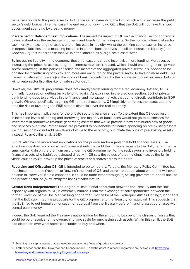issue new bonds to the private sector to finance its repayments to the BoE, which would increase the public sector's debt burden. In either case, the end result of unwinding QE is that the BoE will not have financed government spending by creating money.

**Private Sector Balance Sheet Implications:** The immediate impact of QE on the financial sector aggregate balance sheet was the exchange of government bonds for bank deposits. So the non-bank financial sector saw merely an exchange of assets and an increase in liquidity, whilst the banking sector saw an increase in deposit liabilities and a matching increase in central bank reserves – itself an increase in liquidity (see Appendix 2). It is in this sense that QE is often labelled as a large-scale asset swap.

By increasing liquidity in the economy, these transactions should incentivise more lending. Moreover, by increasing the prices of assets, long-term interest rates are reduced, which should encourage more private sector borrowing. In this particular sense, the income of the aggregated private sector is supposed to be boosted by incentivising banks to lend more and encouraging the private sector to take on more debt. This means private sector assets (i.e. the stock of bank deposits held by the private sector) will increase, but so will private sector liabilities (i.e. private sector debt).

However, the UK's QE programme does not directly target lending for the real economy. Instead, QE is primarily focussed on getting banks lending again. As explained in the previous section, 80% of private bank lending goes to activities in the financial and mortgage markets that do not directly contribute to GDP growth. Without specifically targeting QE at the real economy, QE implicitly reinforces the status quo and runs the risk of favouring the FIRE sectors (financial) over the real economy.

This has important implications for the private sector's balance sheet. To the extent that QE does result in increased levels of lending and borrowing, the majority of bank loans would not go to businesses for investment in productive revenue generating assets**<sup>17</sup>** that would provide a new continuous flow of goods and services over time. Rather, loans are provided to households to finance spending on pre-existing assets (i.e. houses) that do not add new flows of value to the economy, but inflate the price of pre-existing assets instead (Ryan-Collins et al., 2013).

But QE also has balance sheet implications for the private sector agents that hold financial assets. The effect on investors' and companies' balance sheets that sold their financial assets to the BoE, netted them a small capital gain on the premium paid under the QE programme. For the rest, savers and investors holding financial assets who hadn't participated directly in QE saw the values of their holdings rise, as the fall in yields caused by QE drove up the prices of stocks and shares across the board.

**Reversing and Offsetting QE:** QE is intended to be temporary. To date, the Monetary Policy Committee has not chosen to reduce ('reverse' or 'unwind') the level of QE, and there are doubts about whether it will ever be able to. However, if it did choose to, it could be done either through (a) selling government bonds back to the private sector, or (b) by letting the bonds it holds mature.

**Central Bank Independence:** The degree of institutional separation between the Treasury and the BoE, especially with regards to QE, is extremely blurred. From the exchange of correspondence between the former Governor of the BoE Mervyn King and former Chancellor of the Exchequer Alistair Darling**<sup>18</sup>**, it appears that the BoE submitted the proposals for the QE programme to the Treasury for approval. This suggests that the BoE had to get formal authorisation or approval from the Treasury before financing asset purchases with central bank money.

Indeed, the BoE required the Treasury's authorisation for the amount to be spent, the classes of assets that could be purchased, and the overarching time scale for purchasing such assets. Within this remit, the BoE had discretion over what specific securities to buy and when.

<sup>17</sup> Meaning real capital assets that are used to produce new flows of goods and services.

<sup>18</sup> Letters between the BoE Governor and Chancellor on QE and the Asset Purchase Programme are available at: http://www. bankofengland.co.uk/monetarypolicy/Pages/qe/facility.aspx.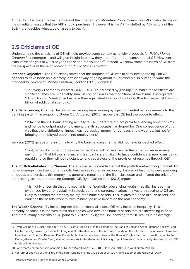At the BoE, it is currently the members of the independent Monetary Policy Committee (MPC) who decide on the quantity of assets that the APF should purchase. However, it is the APF – staffed by 4 Directors of the BoE – that decides what type of assets to buy**<sup>19</sup>**.

#### **2.5 Criticisms of QE**

Understanding the criticisms of QE will help provide some context as to why proposals for *Public Money Creation* first emerged – and will give insight into how they are different from conventional QE. However, an exhaustive analysis of QE is beyond the scope of this paper<sup>20</sup>. Instead, we show some criticisms of QE from the perspective of those advocating for *Public Money Creation*.

**Intended Objective:** The BoE clearly states that the purpose of QE was to stimulate spending. But QE appears to have been an extremely inefficient way of going about it. For example, in putting forward the proposal for Sovereign Money Creation, Jackson (2013) suggests:

"For every £1 of money created via QE, UK GDP increased by just 10p-15p. While these effects are significant, they are undeniably small in comparison to the magnitude of the stimulus: it required £375 billion of Quantitative Easing – then equivalent to around 26% of GDP – to create just £37-£56 billion of additional spending."

**The Bank Lending Channel:** Instead of increasing bank lending by injecting central bank reserves into the banking system**<sup>21</sup>**, in proposing Green QE, Anderson (2015) argues that QE had the opposite effect:

"In fact, in the UK, bank lending actually fell. QE therefore did not provide a lending boost to firms, and hence to output and employment, that its advocates had hoped for. One consequence of this was that the distributional impact was regressive: money for bonuses and dividends, but not for bringing unemployed people into employment."

Jackson (2013) gives some insight into why the bank lending channel did not have its desired effect:

"First, banks do not tend to be constrained by a lack of reserves…In the uncertain recessionary environment that follows a financial crisis, banks are unlikely to have confidence in new loans being repaid and so they will be reluctant to lend regardless of the provision of reserves through QE."

**The Portfolio-Rebalancing Channel:** There is also ample evidence that the portfolio-rebalancing channel did not encourage investment or lending to businesses in the real economy. Instead of leading to new spending on goods and services, this money has generally remained in the financial sector and inflated the price of pre-existing assets. In proposing Strategic QE, Ryan-Collins et al. (2013) argue:

"It is highly uncertain that this mechanism of 'portfolio rebalancing' works in reality. Instead – as evidenced by current volatility in stock, bond and currency markets – investors reacting to QE are likely to channel their money mainly into financial assets. This inflates the price of such assets, and enriches the assets' owners, with minimal positive impact on the real economy."

**The Wealth Channel:** By increasing the price of financial assets, QE may increase inequality. This is primarily because it is the wealthiest households who own the financial assets that are increasing in price. Therefore, many criticisms of QE point to a 2012 study by the BoE showing that QE results in an average

<sup>19</sup> Ryan-Collins et al. (2013) explain: "The APF is structured as a limited company, the Bank of England Asset Purchase Facility Fund Limited, wholly owned by the Bank of England. It is the directors of the APF who decide on the allocation of purchases. There are two directors, Spencer Dale and Paul Fisher, both of whom are executives of the Bank of England and who directly report to the Deputy-Governor, Charlie Bean, who in turn reports to the Governor. It is this group of Directors that ultimately decides on how QE funds will be allocated."

<sup>20</sup> For a more comprehensive analysis of QE see Ryan-Collin et al. (2013), Jackson (2013), and van Lerven (2015b). 21 For further analysis of the failure of the bank lending channel, see Butt et al., (2014) and Bezemer and Gardiner (2010).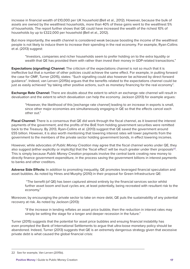increase in financial wealth of £10,000 per UK household (Bell et al., 2012). However, because the bulk of assets are owned by the wealthiest households, more than 40% of these gains went to the wealthiest 5% of households. The report further shows that QE could have increased the wealth of the richest 10% of households by up to £322,000 per household (Bell et al., 2012).

But more importantly, the wealth channel is considered weak because boosting the income of the wealthiest people is not likely to induce them to increase their spending in the real economy. For example, Ryan-Collins et al. (2013) suggest:

"Investors, companies and richer households seem to prefer holding on to the extra liquidity or wealth that QE has provided them with rather than invest their money in GDP-related transactions."

**Expectations (signalling) Channel:** The criticism of the expectations channel is not so much that it is ineffective but that a number of other policies could achieve the same effect. For example, in putting forward the case for OMF, Turner (2015), states: "Such signalling could also however be achieved by direct forward guidance". Indeed, van Lerven (2015b) argues that the benefits related to the expectations channel could be just as easily achieved "by taking other positive actions, such as monetary financing for the real economy".

**Exchange Rate Channel:** There are doubts about the extent to which an exchange rate channel will result in devaluation and the extent to which devaluation can help the economy. Jackson (2013) for example argues:

"However, the likelihood of this [exchange rate channel] leading to an increase in exports is small, since other major economies are simultaneously engaging in QE so that the effects cancel each other out."

**Fiscal Channel:** There is a consensus that QE did work through the fiscal channel, as it lowered the interest payments of the government; and the profits of the BoE from holding government securities were remitted back to the Treasury. By 2013, Ryan-Collins et al. (2013) suggest that QE saved the government around £55 billion. However, it is also worth mentioning that lowering interest rates will lower payments from the government to the members of the private sector holding government bonds, in effect lowering incomes.

However, while advocates of *Public Money Creation* may agree that the fiscal channel works under QE, they also suggest (either explicitly or implicitly) that the 'fiscal effect' will be much greater under their proposals**<sup>22</sup>**. This is simply because *Public Money Creation* proposals involve the central bank creating new money to directly finance government expenditure, in the process saving the government billions in interest payments to banks and other creditors.

**Adverse Side Effects:** In addition to promoting inequality, QE promotes leveraged financial speculation and asset bubbles. As noted by Hines and Murphy (2010) in their proposal for Green Infrastructure QE:

 "The benefit (of QE) has been captured almost entirely by the financial services sector whilst further asset boom and bust cycles are, at least potentially, being recreated with resultant risk to the economy."

Moreover, by encouraging the private sector to take on more debt, QE puts the sustainability of any potential recovery at risk. As noted by Jackson (2013):

"If the increase in lending reflates an asset price bubble, then the reduction in interest rates may simply be setting the stage for a longer and deeper recession in the future."

Turner (2015) suggests that the potential for asset price bubbles and ensuing financial instability has even prompted the Bank of International Settlements to argue that ultra-loose monetary policy should be abandoned. Indeed, Turner (2013) suggests that QE is an extremely dangerous strategy given that excessive private debt is what caused the global financial crisis:

<sup>22</sup> See for example, Van Lerven (2015b).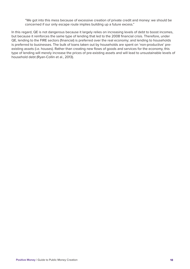"We got into this mess because of excessive creation of private credit and money: we should be concerned if our only escape route implies building up a future excess."

In this regard, QE is not dangerous because it largely relies on increasing levels of debt to boost incomes, but because it reinforces the same type of lending that led to the 2008 financial crisis. Therefore, under QE, lending to the FIRE sectors (financial) is preferred over the real economy; and lending to households is preferred to businesses. The bulk of loans taken out by households are spent on 'non-productive' preexisting assets (i.e. houses). Rather than creating new flows of goods and services for the economy, this type of lending will merely increase the prices of pre-existing assets and will lead to unsustainable levels of household debt (Ryan-Collin et al., 2013).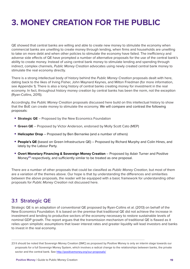# **3. MONEY CREATION FOR THE PUBLIC**

QE showed that central banks are willing and able to create new money to stimulate the economy when commercial banks are unwilling to create money through lending, when firms and households are unwilling to take on more debt and when other policies to stimulate the economy have failed. The inefficiency and adverse side effects of QE have prompted a number of alternative proposals for the use of the central bank's ability to create money. Instead of using central bank money to stimulate lending and spending through indirect, complex channels, *Public Money Creation* advocates using newly created central bank money to stimulate the real economy directly.

There is a strong intellectual body of history behind the *Public Money Creation* proposals dealt with here, dating back to the likes of Irving Fisher, John Maynard Keynes, and Milton Friedman (for more information, see Appendix 1). There is also a long history of central banks creating money for investment in the real economy. In fact, throughout history money creation by central banks has been the norm, not the exception (Ryan-Collins, 2015).

Accordingly, the *Public Money Creation* proposals discussed here build on this intellectual history to show that the BoE can create money to stimulate the economy. We will compare and contrast the following proposals:

- **• Strategic QE** Proposed by the New Economics Foundation
- **• Green QE** Proposed by Victor Anderson, endorsed by Molly Scott Cato (MEP)
- **• Helicopter Drop** Proposed by Ben Bernanke (and a number of others)
- **• People's QE** (based on Green Infrastructure QE) Proposed by Richard Murphy and Colin Hines, and lately by the Labour Party.
- **• Overt Monetary Financing & Sovereign Money Creation** Proposed by Adair Turner and Positive Money**<sup>23</sup>** respectively, and sufficiently similar to be treated as one proposal.

There are a number of other proposals that could be classified as *Public Money Creation*, but most of them are a variation of the themes above. Our hope is that by understanding the differences and similarities between the above proposals, the reader will be equipped with a basic framework for understanding other proposals for *Public Money Creation* not discussed here.

#### **3.1 Strategic QE**

Strategic QE is an adaptation of conventional QE proposed by Ryan-Collins et al. (2013) on behalf of the New Economics Foundation. It is based on the premise that traditional QE did not achieve the increase in investment and lending to productive sectors of the economy necessary to restore sustainable levels of nominal GDP growth. The report argues that the transmission mechanism of traditional QE is flawed as it relies upon simplistic assumptions that lower interest rates and greater liquidity will lead investors and banks to invest in the real economy.

<sup>23</sup> It should be noted that Sovereign Money Creation (SMC) as proposed by Positive Money is only an interim stage towards our proposals for a full Sovereign Money System, which involves a radical change to the relationships between banks, the private sector and the central bank. See http://positivemoney.org/our-proposals/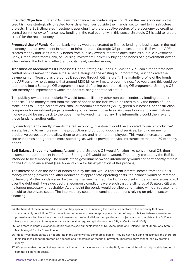**Intended Objective:** Strategic QE aims to enhance the positive impact of QE on the real economy, so that credit is more strategically directed towards enterprises outside the financial sector, and to infrastructure projects. The BoE stimulates investment spending into the productive sectors of the economy by creating central bank money to finance new lending in the real economy. In this sense, Strategic QE is said to 'create credit' for the real economy.

**Proposed Use of Funds:** Central bank money would be created to finance lending to businesses in the real economy and for investment in homes or infrastructure. Strategic QE proposes that the BoE (via the APF) creates money and uses it to buy bonds from publicly owned intermediaries, such as a Public Investment Bank, Green Investment Bank, or Housing Investment Bank**<sup>24</sup>**. By buying the bonds of a government-owned intermediary, the BoE is in effect lending its newly created money.

**Transmission Mechanisms & Processes:** Under Strategic QE, the BoE (via the APF) can either create new central bank reserves to finance the scheme alongside the existing QE programme, or it can divert the payments from Treasury as the bonds it acquired through QE mature**<sup>25</sup>**. The maturity profile of the bonds the APF currently holds means that around £100 billion will mature over the next five years and this could be redirected into a Strategic QE programme instead of rolling over the existing QE programme. Strategic QE can thereby be implemented within the BoE's existing operational set-up.

The publicly-owned intermediaries**<sup>26</sup>** would function like any other non-bank lender, by lending out their deposits**<sup>27</sup>**. The money raised from the sale of bonds to the BoE would be used to buy the bonds of – or make loans to – large corporations, small or medium enterprises (SMEs), green businesses, or construction companies for investment projects meeting public benefit objectives. As these bonds and loans matured, money would be paid back to the government-owned intermediary. The intermediary could then re-lend these funds to another entity.

By directing credit directly towards the real economy, investment would be allocated towards 'productive' assets, leading to an increase in the production and output of goods and services. Lending money for productive purposes would allow them to expand and hire more employees. This would increase private sector incomes and generate more spending, as well as provide the vital infrastructure that the UK economy needs.

**BoE Balance Sheet Implications:** Assuming that Strategic QE would function like conventional QE, then at some appropriate point in the future Strategic QE would be unwound. The money created by the BoE is intended to be temporary. The bonds of the government-owned intermediary would not permanently remain on the BoE's balance sheet (see Appendix 2 a for full explanation of this process).

The interest paid on the loans or bonds held by the BoE would represent interest income from the BoE's money-creating powers and, after deduction of appropriate operating costs, the balance would be remitted to Treasury. As the bonds issued by the intermediary matured, the BoE would subscribe for new issues to roll over the debt until it was decided that economic conditions were such that the stimulus of Strategic QE was no longer necessary (or desirable). At that point the bonds would be allowed to mature without replacement, or sold to the private sector. The intermediary could then continue operations relying on private sector financing.

- 24 The benefit of these intermediaries is that they specialise in financing the productive sectors of the economy that have spare capacity. In addition, "The use of intermediaries ensures an appropriate division of responsibilities between investment professionals that have the expertise to assess and select individual companies and projects, and economists at the BoE who have the expertise to identify economic sectors that require capital investment." (Ryan-Collins et al.,2013).
- 25 For a more in depth explanation of this process see our explanation of QE, Accounting and Balance Sheet Operations: Step 3. Maintaining QE at its Current Level.
- 26 Public investment banks do not operate in the same way as commercial banks. They do not have banking licenses and therefore their liabilities cannot be treated as deposits and transferred as means of payment. Therefore, they cannot lend by creating money.
- 27 We assume that the public-investment bank would not have an account at the BoE, and would therefore only be able lend out its commercial bank deposits.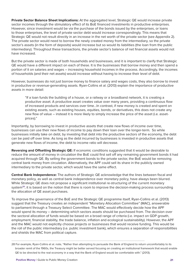**Private Sector Balance Sheet Implications:** At the aggregated level, Strategic QE would increase private sector incomes through the stimulatory effect of its BoE financed investments in productive enterprises. However, since investment would be via the purchase of the bonds issued by the enterprises, or loans to those enterprises, the level of private sector debt would increase correspondingly. This means that Strategic QE would not result directly in an increase in the net worth of the private sector (see Appendix 2). The private sector would need to borrow the newly created money from the intermediary, so the private sector's assets (in the form of deposits) would increase but so would its liabilities (the loan from the public intermediary). Throughout these transactions, the private sector's balance of net financial assets would not have increased.

But the private sector is made of both households and businesses, and it is important to clarify that Strategic QE would have a different impact on each of these. It is the businesses that borrow money and then spend a portion of it on salaries and wages – increasing household incomes in the process. Accordingly, the incomes of households (and their net assets) would increase without having to increase their level of debt.

However, businesses do not just borrow money to finance salary and wages costs, they also borrow to invest in productive or revenue-generating assets. Ryan-Collins et al. (2013) explain the importance of productive assets in more detail:

"If a loan funds the building of a house, or a railway or a broadband network, it is creating a productive asset. A productive asset creates value over many years, providing a continuous flow of increased products and services over time…In contrast, if new money is created and spent on existing assets, such as existing houses, equities, bonds, or derivatives, this does not create any new flow of value – instead it is more likely to simply increase the price of the asset (i.e. assetprices)."

Importantly, by borrowing to invest in productive assets that create new flows of income over time, businesses can use their new flows of income to pay down their loan over the longer-term. So while businesses initially take on debt, by investing that debt into the productive sectors of the economy, the debt can be paid off over time. As long as the debt incurred by businesses is invested in productive assets that generate new flows of income, the debt to income ratio will decrease.

**Reversing and Offsetting Strategic QE:** If economic conditions suggested that it would be desirable to reduce the amount of money in circulation the BoE could first sell off any remaining government bonds it had acquired through QE. By selling the government bonds to the private sector, the BoE would be removing central bank money from circulation. Alternatively, the APF could sell its share in the publicly owned intermediary to the private sector, which would have the same effect.

**Central Bank Independence:** The authors of Strategic QE acknowledge that the lines between fiscal and monetary policy, as well as central bank independence over monetary policy, have always been blurred. While Strategic QE does not propose a significant institutional re-structuring of the current monetary system**<sup>28</sup>**, it is based on the notion that there is room to improve the decision-making process surrounding the allocation of QE asset purchases.

To improve the governance of the BoE and the Strategic QE programme itself, Ryan-Collins et al. (2013) suggest that the Treasury creates an independent "Monetary Allocation Committee" (MAC), answerable to parliament through a Treasury Select Committee. The MAC would effectively decide how the APF would spend its money – determining which sectors assets should be purchased from. The decision over the sectoral allocation of funds would be based on a broad range of criteria (i.e. impact on GDP growth, employment, financial stability, the trade balance, inflation and ecological sustainability). However, the APF and the MAC would not explicitly choose projects or businesses that would receive funding. This would be the roll of the public intermediary (i.e. public investment bank), which ensures a separation of responsibilities and shields the MAC from political capture.

<sup>28</sup> For example, Ryan-Collins et al. note, "Rather than attempting to persuade the Bank of England to return uncomfortably to its broader remit of the 1960s, the Treasury might be better served focusing on creating an institutional framework that would enable QE to be directed to the real economy in a way that the Bank of England would be comfortable with." (2013).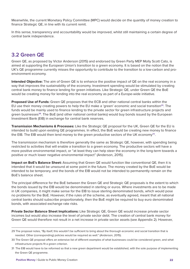Meanwhile, the current Monetary Policy Committee (MPC) would decide on the quantity of money creation to finance Strategic QE, in line with its current remit.

In this sense, transparency and accountability would be improved, whilst still maintaining a certain degree of central bank independence.

#### **3.2 Green QE**

Green QE, as proposed by Victor Anderson (2015) and endorsed by Green Party MEP Molly Scott Cato, is aimed at supporting the European Union's transition to a green economy. It is based on the notion that the UK's QE programme currently misses the opportunity to contribute to the transition to a low-carbon and proenvironment economy.

**Intended Objective:** The aim of Green QE is to enhance the positive impact of QE on the real economy in a way that improves the sustainability of the economy. Investment spending would be stimulated by creating central bank money to finance lending for green initiatives. Like Strategic QE, under Green QE the BoE would be creating money for lending into the real economy as part of a Europe-wide initiative.

**Proposed Use of Funds:** Green QE proposes that the ECB and other national central banks within the EU use their money creating powers to help the EU make a 'green' economic and social transition**<sup>29</sup>**. The funds would be mainly used to finance lending to the private sector for green infrastructure projects and green businesses**<sup>30</sup>**. The BoE (and other national central banks) would buy bonds issued by the European Investment Bank (EIB) in exchange for central bank reserves.

**Transmission Mechanisms & Processes:** Like the Strategic QE proposal for the UK, Green QE for the EU is intended to build upon existing QE programmes. In effect, the BoE would be creating new money to finance the EIB. The EIB would then lend money to the green productive sectors of the UK economy**<sup>31</sup>**.

The transmission mechanism is therefore generally the same as Strategic QE, however, with spending being restricted to activities that will enable a transition to a green economy. The productive sectors will have a more positive environmental impact, or "at least they can help steer the economy in the long-term towards a positive or much lower negative environmental impact" (Anderson, 2015).

**Impact on BoE's Balance Sheet:** Assuming that Green QE would function like conventional QE, then it is intended that it would be unwound at some point in the future. The money created by the BoE would be intended to be temporary, and the bonds of the EIB would not be intended to permanently remain on the BoE's balance sheet.

The principal difference for the BoE between the Green QE and Strategic QE proposals is the extent to which the bonds issued by the EIB would be denominated in sterling or euros. Where investments are to be made in UK companies, it might make sense for the EIB to issue sterling denominated bonds, which would pose no problems for the BoE. However, if the rules of the scheme, as eventually agreed, meant that all national central banks should subscribe proportionately, then the BoE might be required to buy euro denominated bonds, with associated exchange rate risks.

**Private Sector Balance Sheet Implications:** Like Strategic QE, Green QE would increase private sector incomes but would also increase the level of private sector debt. The creation of central bank money for Green QE would therefore not result in a net increase in private sector assets (see Appendix 2). However,

<sup>29</sup> The proposal notes, "By itself, this wouldn't be sufficient to bring about the thorough economic and social transition that is needed. Other (corresponding) policies would be required as well." (Anderson, 2015).

<sup>30</sup> The Green QE proposal offers an extensive list of different examples of what businesses could be considered green, and what infrastructure projects fit a green criterion.

<sup>31</sup> The EIB would have to be reformed so that a new green department would be established, with the sole purpose of implementing the Green QE programme.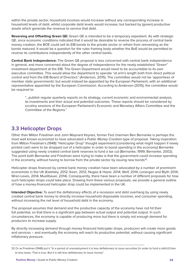within the private sector, household incomes would increase without any corresponding increase in household levels of debt, whilst corporate debt levels would increase, but backed by (green) productive assets which generate the revenue to service that debt.

**Reversing and Offsetting Green QE:** Green QE is intended to be a temporary expedient. As with strategic QE, once economic conditions indicated that it would be desirable to reverse the process of central bank money creation, the BOE could sell its EIB bonds to the private sector or refrain from reinvesting as the bonds matured. It would be a question for the rules framing body whether the BoE would be permitted to reverse its contributions independently of the other central banks.

**Central Bank Independence:** The Green QE proposal is less concerned with central bank independence in general, and more concerned about the degree of independence for the newly established "Green" investment department at the EIB. The Green Department would need to be accountable to its own executive committee. This would allow the department to operate "at arm's length both from direct political control and from the EIB Board of Directors" (Anderson, 2015). The committee would not be 'appointees of member state governments' but would instead be appointed by the European Parliament, with an additional representative appointed by the European Commission. According to Anderson (2015), the committee would be required to:

"…publish regular quarterly reports on its strategy, current economic and environmental analysis, its investments and their actual and potential outcomes. These reports should be considered by scrutiny sessions of the European Parliament's Economic and Monetary Affairs Committee and the Committee of the Regions."

#### **3.3 Helicopter Drops**

Other than Milton Friedman and John Maynard Keynes, former Fed chairman Ben Bernanke is perhaps the most well known economist to have advocated a *Public Money Creation* type of proposal. Taking inspiration from Milton Friedman's (1948) "Helicopter Drop" thought experiment (considering what might happen if newly printed cash were to be dropped out of a helicopter in order to boost spending in the economy) Bernanke suggested using newly created central bank reserves to fund a tax cut (Bernanke, 1999; Bernanke, 2002). The point both Bernanke and Friedman were trying to make is that the government could increase spending in the economy, without having to borrow from the private sector by issuing new bonds**<sup>32</sup>**.

Helicopter drops financed by central bank money creation have been advocated by a number of prominent economists in the UK (Kaletsky, 2012; Keen, 2012; Nugee & Hazel, 2014; Wolf, 2014; Lonergan and Blyth 2014; Wren-Lewis, 2014; Muellbauer, 2014). Consequently, there have been a number of different proposals for how such helicopter drops could take place. Drawing from these various proposals, we provide a general outline of how a money-financed helicopter drop could be implemented in the UK.

**Intended Objective:** To avert the deflationary effects of a recession and debt overhang by using newly created central bank money to directly increase household disposable incomes, and consumer spending, without increasing the net level of household debt in the economy.

The proposal assumes that demand and the productive capacity of the economy have not hit their full potential, so that there is a significant gap between actual output and potential output. In such circumstances, the economy is capable of producing more but there is simply not enough demand for producers to increase supply.

By directly increasing demand through money-financed helicopter drops, producers will create more goods and services – and eventually the economy will reach its productive potential, without causing significant inflationary pressure.

<sup>32</sup> Or as Friedman (1948) put it "In a period of unemployment it is less deflationary to issue securities [in order to fund a deficit] than to levy taxes. That is true. But it is still less deflationary to issue money".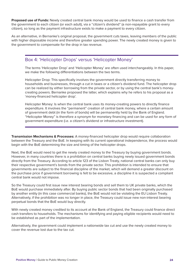**Proposed use of Funds:** Newly created central bank money would be used to finance a cash transfer from the government to each citizen (or each adult), via a "citizen's dividend" (a non-repayable grant to every citizen), so long as the payment infrastructure exists to make a payment to every citizen.

As an alternative, in Bernanke's original proposal, the government cuts taxes, leaving members of the public with higher disposable income and therefore greater spending power. The newly created money is given to the government to compensate for the drop in tax revenue.

#### Box 4: 'Helicopter Drops' versus 'Helicopter Money'

The terms 'Helicopter Drop' and 'Helicopter Money' are often used interchangeably. In this paper, we make the following differentiations between the two terms.

Helicopter Drop: This specifically involves the government directly transferring money to households and businesses, through a cut in taxes or a citizen's dividend fund. The helicopter drop can be realized by either borrowing from the private sector, or by using the central bank's moneycreating powers. Bernanke proposed the latter, which explains why he refers to his proposal as a 'money-financed helicopter drop'.

Helicopter Money: Is when the central bank uses its money-creating powers to directly finance expenditure. It involves the "permanent" creation of central bank money, where a certain amount of government debt (in the form of bonds) will be permanently held by the Bank of England. "Helicopter Money" is therefore a synonym for monetary financing and can be used for any form of government expenditure (i.e. a citizen's dividend or infrastructure investment).

**Transmission Mechanisms & Processes:** A money-financed helicopter drop would require collaboration between the Treasury and the BoE. In keeping with its current operational independence, the process would begin with the BoE determining the size and timing of the helicopter drops.

Next, the BoE would need to get the newly created money to the Treasury by buying government bonds. However, in many countries there is a prohibition on central banks buying newly issued government bonds directly from the Treasury. According to article 123 of the Lisbon Treaty, national central banks can only buy their respective government's bonds from the private sector. This prohibition is intended to ensure that governments are subject to the financial discipline of the market, which will demand a greater discount on the purchase price if government borrowing is felt to be excessive, a discipline it is suspected a compliant central bank would not impose.

So the Treasury could first issue new interest bearing bonds and sell them to UK private banks, which the BoE would purchase immediately after. By buying public sector bonds that had been originally purchased by another entity (in this case commercial banks), the BoE would not be violating the EU Lisbon Treaty. Alternatively, if the prohibition was no longer in place, the Treasury could issue new non-interest bearing perpetual bonds that the BoE would buy directly.

With newly created money credited to its account at the Bank of England, the Treasury could finance direct cash transfers to households. The mechanisms for identifying and paying eligible recipients would need to be established as part of the implementation.

Alternatively, the government could implement a nationwide tax cut and use the newly created money to cover the revenue lost due to the tax cut.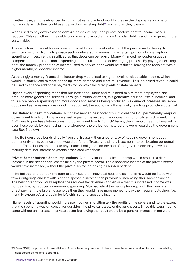In either case, a money-financed tax cut or citizen's dividend would increase the disposable income of households, which they could use to pay down existing debt**<sup>33</sup>** or spend as they please.

When used to pay down existing debt (i.e. to deleverage), the private sector's debt-to-income ratio is reduced. This reduction in the debt-to-income ratio would enhance financial stability and make growth more sustainable.

The reduction in the debt-to-income ratio would also come about without the private sector having to sacrifice spending. Normally, private sector deleveraging means that a certain portion of consumption spending or investment is sacrificed so that debts can be repaid. Money-financed helicopter drops can compensate for the reduction in spending that results from the deleveraging process. By paying off existing debt, the monthly proportion of income used to service debt would be reduced, leaving the recipient with a higher monthly disposable income.

Accordingly, a money-financed helicopter drop would lead to higher levels of disposable income, which would ultimately lead to more spending, more demand and more tax revenue. This increased revenue could be used to finance additional payments for non-taxpaying recipients of state benefits.

Higher levels of spending mean that businesses sell more and thus need to hire more employees and produce more goods and services. Through a multiplier effect, this generates a further rise in incomes, and thus more people spending and more goods and services being produced. As demand increases and more goods and services are correspondingly supplied, the economy will eventually reach its productive potential.

**BoE Balance Sheet Implications:** A money-financed helicopter drop involves the BoE permanently keeping government bonds on its balance sheet, equal to the value of the original tax cut or citizen's dividend. If the BoE were to purchase interest-bearing government bonds from UK banks, then it would need to keep rolling over these bonds by purchasing more whenever the old bonds matured and were repaid by the government (see Box 5 below).

If the BoE could buy bonds directly from the Treasury, then another way of keeping government debt permanently on its balance sheet would be for the Treasury to simply issue non-interest bearing perpetual bonds. These bonds do not incur any financial obligation on the part of the government; they have no maturity date, nor interest payments associated with them.

**Private Sector Balance Sheet Implications:** A money-financed helicopter drop would result in a direct increase in the net financial assets held by the private sector. The disposable income of the private sector would have increased, without the private sector increasing its burden of debt.

If the helicopter drop took the form of a tax cut, then individual households and firms would be faced with fewer outgoings and left with higher disposable income than previously, increasing their bank balances. The helicopter drop would replace the reduced tax revenues and ensure that this increased income was not be offset by reduced government spending. Alternatively, if the helicopter drop took the form of a direct payment to eligible households then they would have more money to pay their regular outgoings (i.e. monthly expenses), and again be left with higher disposable income.

Higher levels of spending would increase incomes and ultimately the profits of the sellers and, to the extent that the spending was on consumer durables, the physical assets of the purchasers. Since this extra income came without an increase in private sector borrowing the result would be a general increase in net worth.

<sup>33</sup> Keen (2012) proposes a citizen's dividend fund, where recipients would have to use the money received to pay down existing debt before being able to spend it.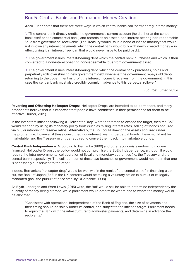#### Box 5: Central Banks and Permanent Money Creation

Adair Tuner notes that there are three ways in which central banks can 'permanently' create money:

1. "The central bank directly credits the government's current account (held either at the central bank itself or at a commercial bank) and records as an asset a non-interest bearing non-redeemable "due from government" receivable. [The Treasury would issue a bond of infinite maturity that would not involve any interest payments which the central bank would buy with newly created money – in effect giving it an interest free loan that would never have to be paid back].

2. The government issues interest-bearing debt which the central bank purchases and which is then converted to a non-interest-bearing non-redeemable 'due from government' asset.

3. The government issues interest-bearing debt, which the central bank purchases, holds and perpetually rolls over (buying new government debt whenever the government repays old debt), returning to the government as profit the interest income it receives from the government. In this case the central bank must also credibly commit in advance to this perpetual rollover."

(Source: Turner, 2015).

**Reversing and Offsetting Helicopter Drops: '**Helicopter Drops' are intended to be permanent, and many proponents believe that it is important that people have confidence in their permanence for them to be effective (Turner, 2015).

In the event that inflation following a 'Helicopter Drop' were to threaten to exceed the target, then the BoE would respond by using its monetary policy tools (such as raising interest rates, selling off bonds acquired via QE, or introducing reserve ratios). Alternatively, the BoE could draw on the assets acquired under the programme. However, if these constituted non-interest bearing perpetual bonds, these would not be marketable, and the Treasury might be required to convert them back into marketable bonds.

**Central Bank Independence:** According to Bernanke (1999) and other economists endorsing moneyfinanced 'Helicopter Drops', the policy would not compromise the BoE's independence, although it would require the intra-governmental collaboration of fiscal and monetary authorities (i.e. the Treasury and the central bank respectively). The collaboration of these two branches of government would not mean that one is necessarily subservient to the other.

Indeed, Bernanke's 'helicopter drop' would be well within the remit of the central bank: "In financing a tax cut, the Bank of Japan [BoE in the UK context) would be taking a voluntary action in pursuit of its legally mandated goal, the pursuit of price stability." (Bernanke, 1999).

As Blyth, Lonergan and Wren-Lewis (2015) write, the BoE would still be able to determine independently the quantity of money being created, while parliament would determine where and to whom the money would be allocated:

"Consistent with operational independence of the Bank of England, the size of payments and their timing should be solely under its control, and subject to the inflation target. Parliament needs to equip the Bank with the infrastructure to administer payments, and determine in advance the recipients."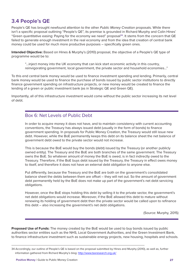#### **3.4 People's QE**

People's QE has brought newfound attention to the other *Public Money Creation* proposals. While there isn't a specific proposal outlining "People's QE", its premise is grounded in Richard Murphy and Colin Hines' "Green quantitative easing: Paying for the economy we need" proposal**<sup>34</sup>**. It stems from the concern that QE failed to generate enough investment in the real economy and from the idea that creation of central bank money could be used for much more productive purposes – specifically green ones.

**Intended Objective:** Based on Hines & Murphy's (2010) proposal, the objective of a People's QE type of programme would be to:

"…inject money into the UK economy that can kick start economic activity in this country, reinvigorating government, local government, the private sector and household economies…"

To this end central bank money would be used to finance investment spending and lending. Primarily, central bank money would be used to finance the purchase of bonds issued by public sector institutions to directly finance government spending on infrastructure projects, or new money would be created to finance the lending of a green or public investment bank (as in Strategic QE and Green QE).

Importantly, all of this infrastructure investment would come without the public sector increasing its net level of debt.

#### Box 6: Net Levels of Public Debt

In order to acquire money it does not have, and to maintain consistency with current accounting conventions, the Treasury has always issued debt (usually in the form of bonds) to finance government spending. In proposals for Public Money Creation, the Treasury would still issue new debt. However, while the BoE permanently keeps this debt on its balance sheet the net balance of government debt owed to the private sector would not increase.

This is because the BoE would buy the bonds (debt) issued by the Treasury (or another publicly owned entity). The Treasury and the BoE are both branches of the same government. The Treasury owns the BoE. So whatever amount of money the BoE is owed, is in fact indirectly owed to the Treasury. Therefore, if the BoE buys debt issued by the Treasury, the Treasury in effect owes money to itself, and therefore it does not have an external debt obligation to anyone else.

Put differently, because the Treasury and the BoE are both on the government's consolidated balance sheet the debts between them are offset – they will net out. So the amount of government debt permanently held by the BoE does not make up part of the government's net debt servicing obligations.

However, once the BoE stops holding this debt by selling it to the private sector, the government's net debt obligations would increase. Moreover, if the BoE allowed this debt to mature without renewing its holding of government debt then the private sector would be called upon to refinance this debt – also increasing the government's net debt obligations.

(Source: Murphy, 2015)

**Proposed Use of Funds:** The money created by the BoE would be used to buy bonds issued by public authorities sector entities such as the NHS, Local Government Authorities, and the Green Investment Bank, to finance infrastructure investment such as sustainable energy projects, new housing, hospitals and schools.

<sup>34</sup> Accordingly, our outline of People's QE is based on the proposal submitted by Hines and Murphy (2010), as well as, further information gathered from Richard Murphy's blog: http://www.taxresearch.org.uk/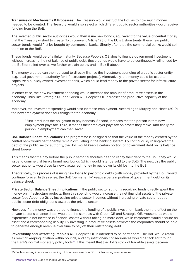**Transmission Mechanisms & Processes:** The Treasury would instruct the BoE as to how much money needed to be created. The Treasury would also select which different public sector authorities would receive funding from the BoE.

The selected public sector authorities would then issue new bonds, equivalent to the value of central money that the Treasury wished to create. To circumvent Article 123 of the EU's Lisbon treaty, these new public sector bonds would first be bought by commercial banks. Shortly after that, the commercial banks would sell them on to the BoE.

These bonds would be of a finite maturity. Because People's QE aims to finance government investment without increasing the net balance of public debt, these bonds would have to be continuously refinanced by the BoE (or rolled-over as we further explain below and in Box 5 above).

The money created can then be used to directly finance the investment spending of a public sector entity (e.g. local government authority for infrastructure projects). Alternatively, the money could be used to capitalize a publicly owned investment bank, which could lend money to the private sector for infrastructure projects.

In either case, the new investment spending would increase the amount of productive assets in the economy. Thus, like Strategic QE and Green QE, People's QE increases the productive capacity of the economy.

Moreover, the investment spending would also increase employment. According to Murphy and Hines (2010), the new employment does four things for the economy:

"First it reduces the obligation to pay benefits. Second, it means that the person in that new employment pays tax. Third, it means their employer pays tax on profits they make. And finally the person in employment can then save."

**BoE Balance Sheet Implications:** The programme is designed so that the value of the money created by the central bank would permanently remain circulating in the banking system. By continuously rolling-over the debt of the public sector authority, the BoE would keep a certain portion of government debt on its balance sheet forever.

This means that the day before the public sector authorities need to repay their debt to the BoE, they would issue to commercial banks brand new bonds (which would later be sold to the BoE). The next day the public sector authority would use its newly acquired money to pay down its old loan to the BoE.

Theoretically, this process of issuing new loans to pay off old debts (with money provided by the BoE) would continue forever. In this sense, the BoE 'permanently' keeps a certain portion of government debt on its balance sheet.

**Private Sector Balance Sheet Implications:** If the public sector authority receiving funds directly spent the money on infrastructure projects, then this spending would increase the net financial assets of the private sector (see Appendix 2), by increasing private sector incomes without increasing private sector debt or public sector debt obligations towards the private sector.

However, if the money was created to finance the lending of a public investment bank then the effect on the private sector's balance sheet would be the same as with Green QE and Strategic QE. Households would experience a net increase in financial assets without taking on more debt, while corporates would acquire an asset and a corresponding liability. By investing in productive assets however, the corporates should be able to generate enough revenue over time to pay off their outstanding debt.

**Reversibility and Offsetting People's QE:** People's QE is intended to be permanent. The BoE would retain its remit of keeping inflation within bounds, and any inflationary consequences would be tackled through the Bank's normal monetary policy tools**<sup>35</sup>**. If this meant that the BoE's stock of tradable assets became

<sup>35</sup> Such as raising interest rates, selling off bonds acquired via QE, or introducing reserve ratios.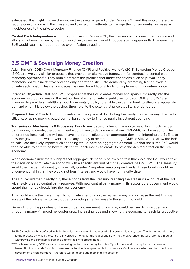exhausted, this might involve drawing on the assets acquired under People's QE and this would therefore require consultation with the Treasury and the issuing authority to manage the consequential increase in indebtedness to the private sector.

**Central Bank Independence:** For the purposes of People's QE, the Treasury would direct the creation and allocation of new money by the BoE, which in this respect would not operate independently. However, the BoE would retain its independence over inflation targeting.

#### **3.5 OMF & Sovereign Money Creation**

Adair Turner's (2013) Overt-Monetary-Finance (OMF) and Positive Money's (2013) Sovereign Money Creation (SMC) are two very similar proposals that provide an alternative framework for conducting central bank monetary operations**<sup>36</sup>**. They both stem from the premise that under conditions such as prevail today, monetary policy is ineffective and can only operate to stimulate demand by promoting higher levels of private sector debt. This demonstrates the need for additional tools for implementing monetary policy.

**Intended Objective:** OMF and SMC propose that the BoE creates money and spends it directly into the economy, without increasing the net burden of either private or public sector debt. OMF and SMC are intended to provide an additional tool for monetary policy to enable the central bank to stimulate aggregate demand when it is below the desired threshold (to the extent that price stability is endangered).

**Proposed Use of Funds:** Both proposals offer the option of distributing the newly created money directly to citizens**,** or using newly created central bank money to finance public investment spending**<sup>37</sup>**.

**Transmission Mechanisms & Processes:** Prior to any decisions being made in terms of how much central bank money to create, the government would have to decide on what any OMF/SMC will be used for. The different options available will each have a different influence on aggregate demand. Informing the BoE as to how the government would want to use any money to be created through OMF or SMC would allow the BoE to calculate the likely impact such spending would have on aggregate demand. On that basis, the BoE would then be able to determine how much central bank money to create to have the desired effect on the real economy.

When economic indicators suggest that aggregate demand is below a certain threshold, the BoE would take the decision to stimulate the economy with a specific amount of money created via OMF/SMC. The Treasury would then issue that quantity of specially created 'perpetual zero-coupon bonds'. These bonds would be unconventional in that they would not bear interest and would have no maturity date.

The BoE would then directly buy these bonds from the Treasury, crediting the Treasury's account at the BoE with newly created central bank reserves. With new central bank money in its account the government would spend the money directly into the real economy.

This would allow the government to stimulate spending in the real economy and increase the net financial assets of the private sector, without encouraging a net increase in the amount of debt.

Depending on the priorities of the incumbent government, this money could be used to boost demand through a money-financed helicopter drop, increasing jobs and allowing the economy to reach its productive

<sup>36</sup> SMC should not be confused with the broader more systemic changes of a Sovereign Money system. The former merely refers to the process by which the central bank creates money for the real economy, while the latter encompasses reforms aimed at withdrawing the commercial banking sector's ability to create money.

<sup>37</sup> To a lesser extent, OMF also advocates using central bank money to write off public debt and to recapitalize commercial banks. But the grounds for doing these are not to stimulate spending but to create a safer financial system and to consolidate government's fiscal positions – therefore we do not include them in this discussion.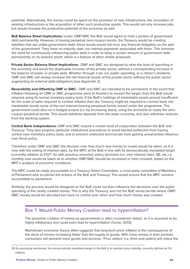potential. Alternatively, the money could be spent on the provision of new infrastructure, the renovation of existing infrastructure or the acquisition of other such productive assets. This would not only increase jobs but would increase the productive potential of the economy as well.

**BoE Balance Sheet Implications:** Under OMF/SMC the BoE would agree to hold a portion of government debt permanently. However, in issuing perpetual zero-coupon bonds, the Treasury would be creating liabilities that are unlike government debt: these bonds would not incur any financial obligation on the part of the government. They have no maturity date, nor interest payments associated with them. This removes the need for continuously refinancing public debt in order to keep a certain amount of government debt permanently on its balance sheet, which is a feature of other similar proposals.

**Private Sector Balance Sheet Implications:** OMF and SMC are designed to raise the level of spending in the economy and boost the disposable incomes of the private sector, without a corresponding increase in the balance of public or private debt. Whether through a tax cut, public spending, or a citizen's dividend, OMF and SMC will always increase the net financial assets of the private sector without the public sector augmenting its external debt obligations (see Appendix 2).

**Reversibility and Offsetting OMF or SMC:** OMF and SMC are intended to be permanent. In the event that inflation following an OMF or SMC programme were to threaten to exceed the target, then the BoE would respond using its normal monetary policy tools. If the BoE's holdings of marketable assets proved insufficient for the scale of sales required to combat inflation then the Treasury might be required to convert back into marketable bonds some of the non-interest bearing perpetual bonds issued under the programme. The government could also run a budget surplus (i.e. by increasing taxes), using the proceeds to repay the zerocoupon perpetual bonds. This would withdraw deposits from the wider economy, and also withdraw reserves from the banking system.

**Central Bank Independence:** OMF and SMC require a certain level of cooperation between the BoE and Treasury. They also propose particular institutional procedures to avoid elected politicians from having control over monetary policy tools, and to prevent unelected technocrats from gaining unwarranted influence over fiscal policy.

Therefore under OMF and SMC the decision over how much new money to create would be taken, as it is now with the setting of interest rates, by the MPC at the BoE in line with its democratically mandated target (currently inflation at 2%)**<sup>38</sup>**. As with previous monetary policy decisions (i.e. over interest rates, QE, etc.) a monthly vote would be taken as to whether OMF/SMC should be increased or held constant, based on the MPC's analysis of economic conditions.

The MPC could be made accountable to a Treasury Select Committee, a cross-party committee of Members of Parliament who scrutinise the actions of the BoE and Treasury. This would ensure that the MPC remains accountable to parliament.

Similarly, the process would be designed so the BoE could not then influence the decisions over the public spending of this newly created money. This is why the Treasury, and not the BoE would decide where OMF/ SMC money would be allocated but have no control over when and how much money was created.

#### Box 7: Would Public Money Creation lead to hyperinflation?

The proactive creation of money by governments is often considered 'taboo', as it is assumed to be highly inflationary and could even lead to hyperinflation (Turner, 2013).

Mainstream economic theory often suggests that long-term price inflation is the consequence of the stock of money increasing faster than the supply of goods. With more money in their pockets, consumers will demand more goods and services. 'Price setters' (i.e. firms and sellers) will notice the

<sup>38</sup> As previously mentioned, the democratically mandated target of the BoE is to maintain price stability, currently defined as 2% inflation.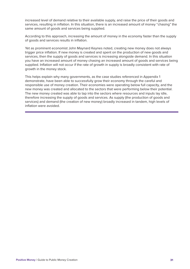increased level of demand relative to their available supply, and raise the price of their goods and services, resulting in inflation. In this situation, there is an increased amount of money "chasing" the same amount of goods and services being supplied.

According to this approach, increasing the amount of money in the economy faster than the supply of goods and services results in inflation.

Yet as prominent economist John Maynard Keynes noted, creating new money does not always trigger price inflation. If new money is created and spent on the production of new goods and services, then the supply of goods and services is increasing alongside demand. In this situation you have an increased amount of money chasing an increased amount of goods and services being supplied. Inflation will not occur if the rate of growth in supply is broadly consistent with rate of growth in the money stock.

This helps explain why many governments, as the case studies referenced in Appendix 1 demonstrate, have been able to successfully grow their economy through the careful and responsible use of money creation. Their economies were operating below full capacity, and the new money was created and allocated to the sectors that were performing below their potential. The new money created was able to tap into the sectors where resources and inputs lay idle, therefore increasing the supply of goods and services. As supply (the production of goods and services) and demand (the creation of new money) broadly increased in tandem, high levels of inflation were avoided.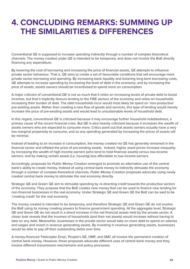### **4. CONCLUDING REMARKS: SUMMING UP THE SIMILARITIES & DIFFERENCES**

Conventional QE is supposed to increase spending indirectly through a number of complex theoretical channels. The money created under QE is intended to be temporary, and does not involve the BoE directly financing any expenditure.

By lowering the cost of borrowing and increasing the price of financial assets, QE attempts to influence private sector behaviour. That is, QE aims to create a set of favourable conditions that will encourage more private sector borrowing and spending. By increasing bank liquidity and lowering long-term borrowing costs, QE attempts to increase spending by increasing the level of debt in the economy; and by increasing the price of assets, assets owners should be incentivised to spend more on consumption.

A major criticism of conventional QE is not so much that it relies on increasing levels of private debt to boost incomes, but that it implicitly favours lending to the FIRE sectors of the economy and relies on households increasing their burden of debt. The debt households incur would most likely be spent on 'non-productive' pre-existing assets. Rather than creating a new flow of goods and services, this type of lending would merely increase the price of pre-existing assets and would lead to unsustainable levels of household debt.

In this regard, conventional QE is criticised because it may encourage further household indebtedness, a primary cause of the recent financial crisis. But QE is also heavily criticised because it increases the wealth of assets owners who are expected to consume more. Critics point out that assets owners actually have a very low marginal propensity to consume, and so any spending generated by increasing the prices of assets will be minimal.

Instead of leading to an increase in consumption, the money created via QE has generally remained in the financial sector and inflated the price of pre-existing assets. Indeed, higher asset prices increase inequality: by increasing the wealth of high-income earners (who tend to hold financial assets) versus low-income earners, and by making certain assets (i.e. housing) less affordable to low-income earners.

Accordingly, proposals for *Public Money Creation* emerged to promote an alternative use of the central bank's ability to create money. Instead of using central bank money to indirectly stimulate the economy through a number of complex theoretical channels, *Public Money Creation* proposals advocate using newly created central bank money to stimulate the real economy directly.

Strategic QE and Green QE aim to stimulate spending by re-directing credit towards the productive sectors of the economy. They propose that the BoE creates new money that can be used to finance new lending for non-financial businesses in the real economy. Under Strategic QE and Green QE the BoE can be said to be 'creating credit' for the real economy.

The money created is intended to be temporary, and therefore Strategic QE and Green QE do not involve the BoE using its money creating powers to finance government spending. At the aggregate level, Strategic QE and Green QE do not result in a direct increase in the net financial assets held by the private sector. A closer look reveals that the incomes of households (and their net assets) would increase without having to take on any debt. Meanwhile, businesses in the private sector would take on more debt to spend on salaries and wages and invest in revenue generating assets. By investing in revenue generating assets, businesses would be able to pay off their outstanding debts over time.

A money-financed 'Helicopter Drop', People's QE, OMF, and SMC all involve the permanent creation of central bank money. However, these proposals advocate different uses of central bank money and they involve different transmission mechanisms and policy processes.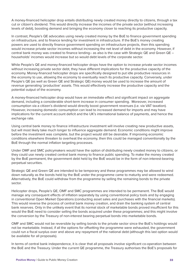A money-financed helicopter drop entails distributing newly created money directly to citizens, through a tax cut or citizen's dividend. This would directly increase the incomes of the private sector (without increasing levels of debt), boosting demand and bringing the economy closer to reaching its productive capacity.

In contrast, People's QE advocates using newly created money by the BoE to finance government spending on infrastructure, and to finance lending for investment in infrastructure. If the BoE's money creating powers are used to directly finance government spending on infrastructure projects, then this spending would increase private sector incomes without increasing the net level of debt in the economy. However, if central bank money was created to finance lending– as also is the case with Strategic QE and Green QE – households' incomes would increase but so would debt levels of the corporate sector.

While People's QE and money-financed helicopter drops have the option to increase private sector incomes without increasing private sector debt, they have different implications for the productive capacity of the economy. Money-financed helicopter drops are specifically designed to put idle productive resources in the economy to use, allowing the economy to eventually reach its productive capacity. Conversely, under People's QE (as well as Green QE and Strategic QE) money would be used to increase the amount of revenue generating 'productive' assets. This would effectively increase the productive capacity and the potential output of the economy.

A money-financed helicopter drop would have an immediate effect and significant impact on aggregate demand, including a considerable short-term increase in consumer spending. Moreover, increased consumption via a citizen's dividend would directly boost government revenues (i.e. via VAT taxation). However, increasing domestic consumption can lead to increased demand for imports and may have implications for the current account deficit and the UK's international balance of payments, and hence the exchange rate.

Using central bank money to finance infrastructure investment will involve creating new productive assets, but will most likely take much longer to influence aggregate demand. Economic conditions might improve before the investment was complete, but the project would still be desirable. If improving economic conditions elsewhere threaten to overheat the economy, then this could be managed conventionally by the BoE through the normal inflation targeting processes.

Under OMF and SMC policymakers would have the option of distributing newly created money to citizens, or they could use newly created central bank money to finance public spending. To make the money created by the BoE permanent, the government debt held by the BoE would be in the form of non-interest-bearing perpetual securities.

Strategic QE and Green QE are intended to be temporary and these programmes may be allowed to wind down naturally as the bonds held by the BoE under the programme came to maturity and were redeemed. Alternatively, the BoE could withdraw from the programme by selling the remaining bonds to the private sector.

Helicopter drops, People's QE, OMF and SMC programmes are intended to be permanent. The BoE would manage any consequent effects of inflation separately by using conventional policy tools and by engaging in conventional Open Market Operations (conducting asset sales and purchases with the financial markets). This would reverse the process of central bank money creation, and drain the banking system of central bank reserves. Only in the unlikely event that its normal stock of marketable bonds proved insufficient for this would the BoE need to consider selling the bonds acquired under these programmes; and this might involve the conversion by the Treasury of non-interest bearing perpetual bonds into marketable bonds.

OMF and SMC would not be reversible by selling bonds to the private sector since the BoE's holdings would not be marketable. Instead, if all the options for offsetting the programme were exhausted, the government could run a fiscal surplus over and above any repayment of the national debt (although this last option would be available for all proposals).

In terms of central bank independence, it is clear that all proposals involve significant co-operation between the BoE and the Treasury. Under the current QE programme, the Treasury authorises the BoE's proposals for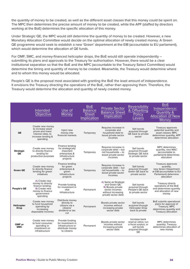the quantity of money to be created, as well as the different asset classes that this money could be spent on. The MPC then determines the precise amount of money to be created, while the APF (staffed by directors working at the BoE) determines the specific allocation of this money.

Under Strategic QE, the MPC would still determine the quantity of money to be created. However, a new Monetary Allocation Committee would decide on the optimal allocation of newly created money. A Green QE programme would seek to establish a new 'Green' department at the EIB (accountable to EU parliament), which would determine the allocation of QF funds.

For OMF, SMC, and money-financed helicopter drops, the BoE would still operate independently – submitting its plans and approvals to the Treasury for authorisation. However, there would be a clear institutional separation so that the BoE and the MPC (accountable to the Treasury Select Committee) would determine the timing and quantity of money to be created. Meanwhile, the Treasury would determine where and to whom this money would be allocated.

People's QE is the proposal most associated with granting the BoE the least amount of independence. It envisions the Treasury directing the operations of the BoE, rather than approving them. Therefore, the Treasury would determine the allocation and quantity of newly created money.

|                           | Intended<br><b>Objective</b>                                                                                                  | Use of<br>Money                                                                                  | <b>BoE</b><br><b>Balance</b><br><b>Sheet</b><br>Implication | <b>Private Sector</b><br><b>Balance Sheet</b><br>Implication                                                              | <b>Reversibility</b><br>& Offsetting<br><b>Policy</b><br>evers.                                      | <b>BoE</b><br>Independence:<br><b>Quantity &amp;</b><br><b>Allocation of New</b><br>Money                                  |
|---------------------------|-------------------------------------------------------------------------------------------------------------------------------|--------------------------------------------------------------------------------------------------|-------------------------------------------------------------|---------------------------------------------------------------------------------------------------------------------------|------------------------------------------------------------------------------------------------------|----------------------------------------------------------------------------------------------------------------------------|
| QE                        | Create new money<br>to increase asset<br>prices and lower<br>interest rates, to<br>increase lending &<br>spending             | Inject new<br>money into<br>financial markets                                                    | Temporary                                                   | Requires increase in<br>corporate and<br>household debt to<br>boost private sector<br>incomes                             | Sell bonds<br>acquired through<br>QE back to private<br>sector                                       | Treasury approves<br>potential quantity and<br>asset classes: MPC<br>determines quantity, APF<br>determines allocation     |
| <b>Strategic</b><br>QE    | Create new money<br>to directly finance<br>lending for<br>productive purposes                                                 | Finance lending<br>for strategically<br>important<br>enterprises &<br>infrastructure<br>projects | Temporary                                                   | Requires increase in<br>corporate debt - but<br>not households - to<br>boost private sector<br>incomes                    | Sell bonds<br>acquired through<br>Strategic QE back<br>to private sector                             | <b>MPC</b> determines<br>quantity, new MAC<br>(accountable to<br>parliament) determines<br>allocation                      |
| <b>Green QE</b>           | Create new money<br>to directly finance<br>lending for green<br>initiatives                                                   | Finance lending<br>for green<br>enterprises &<br>green<br>infrastructure<br>projects             | Temporary                                                   | Requires increase in<br>corporate debt - but<br>not households - to<br>boost private sector<br>incomes                    | Sell bonds<br>acquired through<br>Green QE back to<br>private sector                                 | Treasury approves<br>quantity,<br>new Green Department<br>at EIB (accountable to EU<br>Parliament) determine<br>allocation |
| <b>People's QE</b>        | A) Create new<br>money to directly<br>finance lending;<br><b>B</b> ) Create new<br>money to finance<br>qovernment<br>spending | Provide funding<br>for investment in<br>vital<br>infrastructure                                  | Permanent                                                   | A) Same as Strategic<br>and Green QE:<br>B) Boosts private<br>sector incomes<br>without increasing<br>private sector debt | Sell bonds<br>acquired through<br>People's QE back<br>to private sector                              | Treasury directs<br>operations of the BoE<br>and determines quantity<br>and allocation of new<br>money                     |
| Helicopter<br><b>Drop</b> | Create new money<br>to fund household<br>spending by<br>increasing<br>disposable incomes                                      | Distribute money<br>directly to<br>citizens via a<br>citizens'<br>dividend or tax<br>cut         | Permanent                                                   | Boosts private sector<br>incomes without<br>increasing private<br>sector debt                                             | Sell bonds<br>acquired through<br><b>Helicopter Drop</b><br>back to private                          | BoE submits operational<br>plans for approval of<br>Treasury, MPC<br>determines quantity and<br>Treasury allocation        |
| OMF or<br><b>SMC</b>      | Create new money<br>to fund consumer<br>spending or<br>investment on<br>infrastructure                                        | Provide funding<br>for investment in<br>infrastructure or<br>distribute money<br>to citizens     | Permanent                                                   | Boosts private sector<br>incomes without<br>increasing private<br>sector debt                                             | Increase bank<br>reserve ratios: run<br>a fiscal surplus; or<br>sell bonds<br>acquired through<br>QE | <b>MPC</b> determines<br>quantity; Treasury<br>determines allocation of<br>new money                                       |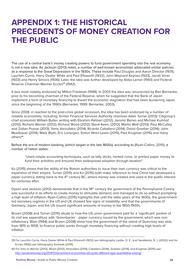### **APPENDIX 1: THE HISTORICAL PRECEDENTS OF MONEY CREATION FOR THE PUBLIC**

The use of a central bank's money creating powers to fund government spending into the real economy is not a new idea. As Jackson (2013) notes, a number of well-known economists advocated similar policies as a response to the Great Depression in the 1930s. These include Paul Douglas and Aaron Director (1931), Lauchlin Currie, Harry Dexter White and Paul Ellsworth (1932), John Maynard Keynes (1933), Jacob Viner (1933) and Henry Simons (1936). Later, the idea was further developed by Abba Lerner (1943) and Federal Reserve Chairman Mariner Eccles**<sup>39</sup>** (1942).

It was most notably endorsed by Milton Friedman (1948). In 2003 the idea was resurrected by Ben Bernanke, prior to his becoming chairman of the Federal Reserve, when he suggested that the Bank of Japan implement a form of monetary financing to thwart the economic stagnation that had been burdening Japan since the beginning of the 1990s (Bernanke, 1999; Bernanke, 2003).

Since 2008, in reaction to the post-crisis global recession, the idea has been endorsed by a number of notable economists, including: former Financial Services Authority chairman Adair Turner (2013); Citigroup's chief economist William Buiter, writing with Ebrahim Rahbari (2012); Jaromir Benes and Michael Kumhof (2012); Richard Werner (2012); Richard Wood (2012); Steve Keen, (2012); Martin Wolf (2013); Paul McCulley and Zoltan Pozsar (2013); Yanis Varoufakis (2014); Ricardo Caballero (2014); David Graeber (2014); John Muelbauer (2014); Mark Blyth, Eric Lonergan, Simon Wren-Lewis (2015), Paul Krugman (2015) and many others**<sup>40</sup>**.

Before the era of modern banking, (which began in the late 1600s), according to (Ryan-Collins, 2015), a number of nation states:

"Used simple accounting techniques, such as tally sticks, minted coins, or printed paper money to fund their activities and ensured their widespread adoption through taxation"

Ku (2015) shows that the ability of the Roman authorities to issue their own currency was critical to the expansion of their empire. Turner (2015) and Ku (2015) both make reference to how China had developed a paper currency dating back to the 4<sup>th</sup> century BC, where money was created and used in the public interest for centuries after.

Dyson and Jackson (2012) demonstrate that in the 18<sup>th</sup> century the government of the Pennsylvania Colony was successful in its efforts to create money to stimulate demand, and managed to do so without prompting a high level of inflation. Ryan-Collins (2015) highlights that until the latter years of the 1600s, the governmentled monetary regimes in the US and UK showed few signs of instability; and that the governments of Germany, Japan, and the US issued significant amounts of money in the 1800-1900s.

Brown (2008) and Turner (2015) allude to how the US union government paid for a 'significant' portion of its civil war expenditure with 'Greenbacks' - paper currency issued by the government, which was noninflationary. Blain (1994) and Brown (2008) show how the government of the island of Guernsey was able, from 1815 to 1958, to finance public works through monetary financing without creating high levels of inflation.

<sup>39</sup> For Lauchlin Currie, Harry Dexter White & Paul Ellsworth (1932) see bibliography Laidler, D. E., and Sandilands, R. J. (2002); and for Eccles (1942) see bibliography Garbade (2014).

<sup>40</sup> For links to Werner (2012), Wood (2012), Varoufakis (2014), Caballero (2014), Graeber (2014), and Krugman (2015) see: http://positivemoney.org/2015/03/prominent-economists-advocate-different-type-quantitative-easing/.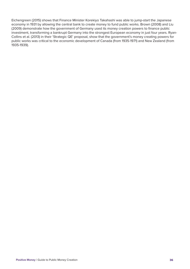Eichengreen (2015) shows that Finance Minister Korekiyo Takahashi was able to jump-start the Japanese economy in 1931 by allowing the central bank to create money to fund public works. Brown (2008) and Liu (2009) demonstrate how the government of Germany used its money creation powers to finance public investment, transforming a bankrupt Germany into the strongest European economy in just four years. Ryan-Collins et al. (2013) in their 'Strategic QE' proposal, show that the government's money creating powers for public works was critical to the economic development of Canada (from 1935-1971) and New Zealand (from 1935-1939).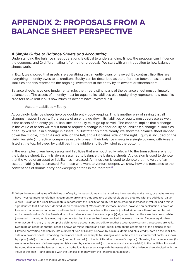### **APPENDIX 2: PROPOSALS FROM A BALANCE SHEET PERSPECTIVE**

#### *A Simple Guide to Balance Sheets and Accounting*

Understanding the balance sheet operations is critical to understanding: 1) how the proposal can influence the economy, and 2) differentiating it from other proposals. We start with an introduction to how balance sheets work.

In Box 1, we showed that assets are everything that an entity owns or is owed. By contrast, liabilities are everything an entity owes to its creditors. Equity can be described as the difference between assets and liabilities and this represents the ongoing investment in the entity by its owners or shareholders.

Balance sheets have one fundamental rule: the three distinct parts of the balance sheet must ultimately balance out. The assets of an entity must be equal to its liabilities plus equity; they represent how much its creditors have lent it plus how much its owners have invested in it.

Assets = Liabilities + Equity

Accordingly, balance sheets involve double entry bookkeeping. This is another way of saying that all changes happen in pairs. If the assets of an entity go down, its liabilities or equity must decrease as well. If the assets of an entity go up, liabilities or equity must go up as well. The concept implies that a change in the value of assets will result from or require a change in either equity or liabilities; a change in liabilities or equity will result in a change in assets. To illustrate this more clearly, we show the balance sheet divided down the middle, into an Assets side, on the left, and a Liabilities side, on the right. Equity is included on the Liabilities side (in practice, companies usually present their balance sheets in a single column, with Assets listed at the top, followed by Liabilities in the middle and Equity listed at the bottom).

In the examples given here, assets and liabilities that are not directly relevant to the transaction are left off the balance sheet. Equity is always assumed to balance the balance sheets. A plus sign is used to denote that the value of an asset or liability has increased. A minus sign is used to denote that the value of an asset or liability has decreased. For those who want to venture deeper, we show how this translates to the conventions of double-entry bookkeeping entries in the footnote**<sup>41</sup>**.

41 When the recorded value of liabilities or of equity increases, it means that creditors have lent the entity more, or that its owners have invested more (or left their investment to grow) and thus creditors or shareholders are credited with the additional value. A plus (+) sign on the Liabilities side thus denotes that the liability or equity has been credited (increased in value), and a minus sign denotes that it has been debited (decreased in value). When assets increase in value, however, an explanation is owed as to where that increase came from and how the increase in the value of the asset is justified. Assets are therefore debited with an increase in value. On the Assets side of the balance sheet, therefore, a plus (+) sign denotes that the asset has been debited (increased in value), while a minus (-) sign denotes that the asset has been credited (decrease in value). Since every doubleentry accounting entry is made up of a debit to one account and a credit to another account, only certain transactions are valid. Swapping an asset for another asset is shown as minus (credit) and plus (debit), both on the assets side of the balance sheet. Likewise converting one liability into a different type of liability is shown by a minus (debit) and plus (credit), both on the liabilities side of a balance sheet. Expanding the balance sheet, for example by issuing a loan (in the case of a commercial bank), is shown by a plus (debit) to the assets (the loan) and a plus (credit) to the liabilities (the borrower's deposit). Shrinking the balance sheet (for example in the case of a loan repayment) is shown by a minus (credit) to the assets and a minus (debit) to the liabilities. It should be noted that where the lender is not a bank, the loan is an asset swap with the assets side of the balance sheet debited with the value of the loan (+) and credited with the transfer of money from the lender's bank account.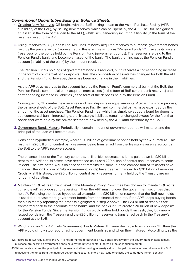#### *Conventional Quantitative Easing in Balance Sheets*

- **1.** Creating New Reserves: QE begins with the BoE making a loan to the Asset Purchase Facility (APF, a subsidiary of the BoE), by issuing new reserves, which can be 'spent' by the APF. The BoE has gained an asset (in the form of the loan to the APF), whilst simultaneously incurring a liability (in the form of the reserves owed to the APF).
- **2.** Using Reserves to Buy Bonds: The APF uses its newly acquired reserves to purchase government bonds held by the private sector (represented in this example simply as "Pension Funds")**<sup>42</sup>**. It swaps its assets (reserves) for the bonds held by the Pension Fund (government bonds). The reserves are paid to the Pension Fund's bank (and become an asset of the bank). The bank then increases the Pension Fund's account (a liability of the bank) by the amount received.

The Pension Fund's holdings of government bonds is reduced, but it receives a corresponding increase in the form of commercial bank deposits. Thus, the composition of assets has changed for both the APF and the Pension Fund, however, there has been no change in their liabilities.

As the APF pays reserves to the account held by the Pension Fund's commercial bank at the BoE, the Pension Fund's commercial bank acquires more assets (in the form of BoE central bank reserves) and a corresponding increase in liabilities (in the form of the deposits held by the Pension Fund).

Consequently, QE creates new reserves and new deposits in equal amounts. Across this whole process, the balance sheets of the BoE, Asset Purchase Facility, and commercial banks have expanded by the amount of the asset purchase. The Pension Fund meanwhile has simply swapped a bond for deposits at a commercial bank. Interestingly, the Treasury's liabilities remain unchanged except for the fact that bonds that were held by the private sector are now held by the APF (and therefore by the BoE).

**3.** Government Bonds Mature: Periodically a certain amount of government bonds will mature, and the principal of the loan will become due.

Consider a hypothetical example, where £20 billion of government bonds held by the APF mature. This results in £20 billion of central bank reserves being transferred from the Treasury's reserve account at the BoE to the APF's reserve account.

The balance sheet of the Treasury contracts, its liabilities decrease as it has paid down its £20 billion debt to the APF and its assets have decreased as it used £20 billion of central bank reserves to settle its debt. The size of the APF's balance sheet remains the same, but the composition of its assets have changed: the £20 billion of Gilts (government bonds) have been exchanged for £20 billion of reserves. Crucially, at this stage, the £20 billion of central bank reserves formerly held by the Treasury are no longer in circulation.

**4.** Maintaining QE at its Current Level: If the Monetary Policy Committee has chosen to 'maintain QE at its current level' (as opposed to reversing it) then the APF must rollover the government securities that it holds**<sup>43</sup>**. Following the above hypothetical example, the £20 billion of reserves that the BoE now holds is used to purchase more government bonds from the financial markets. If the APF keeps buying bonds, then it is merely repeating the process highlighted in step 2 above. The £20 billion of reserves are transferred back to the accounts of the banks, and the banks in turn create £20 billion of new deposits for the Pension Funds. Since the Pension Funds would rather hold bonds than cash, they buy newly issued bonds from the Treasury and the £20 billion of reserves is transferred back to the Treasury's account at the BoE.

**5.** Winding down QE - APF Lets Government Bonds Mature: If it were desirable to wind down QE, then the APF would simply stop repurchasing government bonds as and when they matured. Accordingly, as the

<sup>42</sup> According to EU regulations, the APF is not permitted to purchase new bonds directly from the government, instead it must purchase pre-existing government bonds held by the private sector (known as the secondary market).

<sup>43</sup> When bonds mature, the principal of the loan (and all remaining interest) is due to be paid. A 'rollover' would involve the BoE reinvesting the funds from the matured government security into a new issue of exactly the same government security.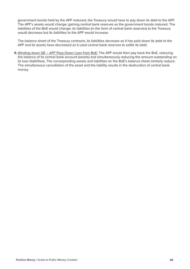government bonds held by the APF matured, the Treasury would have to pay down its debt to the APF. The APF's assets would change, gaining central bank reserves as the government bonds matured. The liabilities of the BoE would change; its liabilities (in the form of central bank reserves) to the Treasury would decrease but its liabilities to the APF would increase.

The balance sheet of the Treasury contracts, its liabilities decrease as it has paid down its debt to the APF and its assets have decreased as it used central bank reserves to settle its debt.

**6.** Winding down QE – APF Pays Down Loan from BoE: The APF would then pay back the BoE, reducing the balance of its central bank account (assets) and simultaneously reducing the amount outstanding on its loan (liabilities). The corresponding assets and liabilities on the BoE's balance sheet similarly reduce. The simultaneous cancellation of the asset and the liability results in the destruction of central bank money.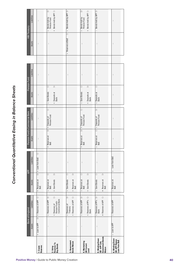# **Conventional Quantitative Easing in Balance Sheets** *Conventional Quantitative Easing in Balance Sheets*

|                                                                |                            | Bank of England                                                                                                           |                                                                                               | <b>APF</b>                        |                                                        | Pension Fund's Commercial Bank                         |                                                                                      | Pension Fund |                | HM Treasury          |                                                                              |
|----------------------------------------------------------------|----------------------------|---------------------------------------------------------------------------------------------------------------------------|-----------------------------------------------------------------------------------------------|-----------------------------------|--------------------------------------------------------|--------------------------------------------------------|--------------------------------------------------------------------------------------|--------------|----------------|----------------------|------------------------------------------------------------------------------|
|                                                                | Assets                     | Liabilities                                                                                                               | Assets                                                                                        | Liabilities                       | Assets                                                 | Liabilities                                            | Assets                                                                               | Liabilities  |                | Assets               | Liabilities                                                                  |
| 1. Create<br>Reserves                                          | <b>Dr</b><br>+ Loan to APF | $\overline{C}$<br>+ Reserves of APF                                                                                       | ò<br>Reserves at<br>BoE<br>$^{+}$                                                             | $\overline{C}$<br>+ Loan from BoE | $\colon$                                               | $\colon$                                               | $\vdots$                                                                             | $\vdots$     |                | $\colon$             | $\vdots$                                                                     |
| 2. Using<br>Reserves To<br>Buy Bonds                           | $\vdots$                   | $\overleftarrow{C}$<br>Reserves of APF Dr<br>Reserves of<br>Pension Fund's<br>Commercial Bank<br>$^{+}$<br>$\overline{1}$ | ŏ<br>$\overleftarrow{\Box}$<br>+ Govt Bonds<br>Reserves at<br>BoE<br>$\overline{\phantom{a}}$ | $\vdots$                          | ă<br>Reserves at<br>BoE<br>$^{+}$                      | ŏ<br>+ Deposits of<br>Pension Fund                     | ŏ<br>$\overleftarrow{\Box}$<br>+ Deposits at<br>Bank<br>Govt Bonds<br>$\overline{1}$ | $\vdots$     |                | $\vdots$             | ă<br>+ Bonds held by APF Cr<br>Bonds held by<br>Pension Fund<br>I            |
| 3. Government<br>Bonds Mature                                  | $\colon$                   | Reserves of APF Cr<br>ă<br>Reserves of<br>Treasury<br>$^{+}$<br>$\overline{1}$                                            | ŏ<br>ă<br>- Govt Bonds<br>Reserves at<br>BoE<br>$^{+}$                                        | $\vdots$                          |                                                        |                                                        |                                                                                      | $\vdots$     | $\overline{1}$ | ò<br>Reserves at BoE | - Bonds held by APF Dr                                                       |
| 4. Maintaining<br>QE Current<br>Level                          | $\vdots$                   | Reserves of APF Dr<br>$\overleftarrow{C}$<br>Reserves of PF's<br>Bank<br>$\overline{1}$<br>$^{+}$                         | ă<br>Ò<br>+ Govt Bonds<br>Reserves at<br>BoE<br>$\overline{1}$                                | $\vdots$                          | Reserves at<br>BoE<br>$^{+}$                           | $\overline{C}$<br>$Dr \mid +$ Deposits of Pension Fund | ŏ<br>$\overleftarrow{\Box}$<br>- Govt Bonds<br>Deposits at<br>Bank<br>$^{+}$         | $\vdots$     |                | $\vdots$             | ă<br>+ Bonds held by APF Cr<br>Bonds held by<br>Pension Fund<br>$\mathbf{I}$ |
| Government Bonds<br>5. Winding Down<br>QE - APF Lets<br>Mature | $\colon$                   | Reserves of PF's Dr<br>Bank<br>$\overline{C}$<br>Reserves of APF<br>$\ddot{}$<br>$\overline{1}$                           | ò<br>ă<br>- Govt Bonds<br>Reserves at<br>BoE<br>$\ddot{}$                                     | $\colon$                          | $\overline{5}$<br>Reserves at<br>BoE<br>$\overline{1}$ | ă<br>- Deposits of<br>Pension Fund                     | $\overline{C}$<br>Deposits at<br>Bank<br>$\overline{1}$                              | $\vdots$     |                | $\vdots$             | - Bonds held by APF Dr                                                       |
| 6. Winding Down<br>QE- APF Repays<br>Loan From BoE             | - Loan to APF              | Reserves of APF<br>$\mathbf{I}$                                                                                           | Reserves at<br>BoE<br>$\mathbf{I}$                                                            | Loan from BoE<br>$\sf I$          | $\vdots$                                               | $\vdots$                                               | $\colon$                                                                             | $\colon$     |                | $\vdots$             | $\colon$                                                                     |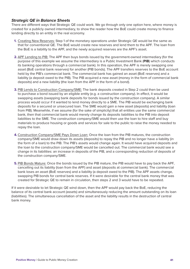#### *Strategic QE in Balance Sheets*

There are different ways that Strategic QE could work. We go through only one option here, where money is created for a publicly owned intermediary, to show the reader how the BoE could create money to finance lending directly to an entity in the real economy.

- **1.** Creating New Reserves: Step 1 of the monetary operations under Strategic QE would be the same as that for conventional QE. The BoE would create new reserves and lend them to the APF. The loan from the BoE is a liability to the APF, and the newly acquired reserves are the APF's asset.
- **2.** APF Lending to PIB: The APF then buys bonds issued by the government-owned intermediary (for the purpose of this example we assume the intermediary is a Public Investment Bank (**PIB**) which conducts its banking operations through a commercial bank). In this operation, the APF is merely swapping one asset (BoE central bank reserves) for another (PIB bonds). The APF transfers reserves to the BoE account held by the PIB's commercial bank. The commercial bank has gained an asset (BoE reserves) and a liability (a deposit owed to the PIB). The PIB acquired a new asset (money in the form of commercial bank deposits) and a new liability (the loan from the APF in the form of a bond).
- **3.** PIB Lends to Construction Company/SME: The bank deposits created in Step 2 could then be used to purchase a bond issued by an eligible entity (e.g. a construction company). In effect, it would be swapping assets (swapping bank deposits for bonds issued by the construction company). A similar process would occur if it wanted to lend money directly to a SME. The PIB would be exchanging bank deposits for a secured or unsecured loan. The SME would gain a new asset (deposits) and liability (loan from PIB). Meanwhile, if we assume (for the sake of simplicity) that all entities use the same commercial bank, then that commercial bank would merely change its deposits liabilities to the PIB into deposit liabilities to the SME. The construction company/SME would then use the loan to hire staff and buy materials to produce housing or goods and services for sale to the public to raise the money needed to repay the loan.
- **4.** Construction Company/SME Pays Down Loan: Once the loan from the PIB matures, the construction company/SME would draw down its assets (deposits) to repay the PIB and no longer have a liability (in the form of a loan) to the PIB. The PIB's assets would change again. It would have acquired deposits and the loan to the construction company/SME would be cancelled out. The commercial bank would see a change in its liabilities: an increase in deposits of the PIB, and a corresponding reduction of deposits of the construction company/SME.
- **5.** PIB Bonds Mature: Once the bonds issued by the PIB mature, the PIB would have to pay back the APF, cancelling out its liability (loan from the APF) and asset (deposits at commercial bank). The commercial bank loses an asset (BoE reserves) and a liability (a deposit owed to the PIB). The APF assets change, swapping PIB bonds for central bank reserves. If it were desirable for the central bank money that was created for Strategic QE to remain in circulation, then steps 2 and 3 would have to be repeated.

If it were desirable to let Strategic QE wind down, then the APF would pay back the BoE, reducing the balance of its central bank account (assets) and simultaneously reducing the amount outstanding on its loan (liabilities). The simultaneous cancellation of the asset and the liability results in the destruction of central bank money.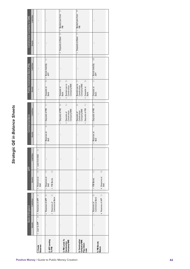# Strategic QE in Balance Sheets *Strategic QE in Balance Sheets*

| Construction Company or SME  | Liabilities<br>Assets | $\vdots$<br>$\vdots$                         | $\vdots$<br>$\vdots$                                                                            | + Deposits at Bank Dr   + Bonds/Loan from Cr<br>PIB                                              | ò<br>Bonds/Loan from<br>PIB<br>$\mathbf{I}$<br>$\overline{C}$<br>- Deposits at Bank                                         | $\vdots$<br>$\vdots$                                                                               |
|------------------------------|-----------------------|----------------------------------------------|-------------------------------------------------------------------------------------------------|--------------------------------------------------------------------------------------------------|-----------------------------------------------------------------------------------------------------------------------------|----------------------------------------------------------------------------------------------------|
|                              |                       |                                              | ŏ                                                                                               |                                                                                                  |                                                                                                                             | E                                                                                                  |
| Public Investment Bank (PIB) | Liabilities           | $\vdots$                                     | $Dr \begin{vmatrix} + & \text{Bonds} & \text{Held By} \\ APF & \end{vmatrix}$                   | $\vdots$<br>$\overline{C}$<br>$\overline{\square}$                                               | $\vdots$<br>ă<br>ŏ                                                                                                          | $\begin{array}{c} \n\text{Cr} \left  \text{-- Bonds Health By} \right  \n\text{APF} \n\end{array}$ |
|                              | Assets                | $\vdots$                                     | Deposits at<br>Bank<br>$^{+}$                                                                   | Bonds/Loan to<br>Construction<br>Company/SME<br>Deposits at<br>Bank<br>$\overline{1}$<br>$^{+}$  | Bonds/Loan to<br>Construction<br>Company/SME<br>Deposits at<br>Bank<br>$^{+}$<br>$\mathbf{I}$                               | Deposits at<br>Bank<br>$\overline{1}$                                                              |
| <b>Commercial Bank</b>       | Liabilities           | $\vdots$                                     | ŏ<br>+ Deposits of PIB<br>$\overline{\overline{D}}$                                             | $\overline{C}$<br>ò<br>- Deposits of PIB<br>Deposits of<br>Construction<br>Company/SME<br>$^{+}$ | $\overleftarrow{\Box}$<br>$\overline{C}$<br>+ Deposits of PIB<br>Deposits of<br>Construction<br>Company/SME<br>$\mathbf{I}$ | $\overline{D}$<br>$Cr$ $-$ Deposits of PIB                                                         |
|                              | Assets                | $\vdots$                                     | Reserves at<br>BoE<br>$\ddot{}$                                                                 | $\vdots$                                                                                         | $\vdots$                                                                                                                    | Reserves at<br>BoE<br>$\overline{1}$                                                               |
| <b>APF</b>                   | Liabilities           | $\overline{C}$<br>$Dr \vert +$ Loan from BoE | $\vdots$                                                                                        | $\vdots$                                                                                         | $\vdots$                                                                                                                    | $\vdots$                                                                                           |
|                              | Assets                | Reserves at<br>BoE<br>$^{+}$                 | ò<br>ŏ<br>Reserves at<br>BoE<br>+ PIB Bonds<br>$\overline{1}$                                   | $\vdots$                                                                                         | ŧ                                                                                                                           | $\overline{\square}$<br>ŏ<br>+ Reserves at<br>BoE<br>- PIB Bonds                                   |
| Bank of England              | Liabilities           | Dr   + Reserves of APF Cr                    | $\overleftarrow{C}$<br>Reserves of APF Dr<br>+ Reserves of<br>Commercial Bank<br>$\overline{1}$ | $\vdots$                                                                                         | ŧ                                                                                                                           | $\overline{C}$<br>ă<br>Reserves of<br>Commercial Bank<br>+ Reserves of APF<br>$\overline{1}$       |
|                              | Assets                | + Loan to APF                                | $\vdots$                                                                                        | $\vdots$                                                                                         | $\vdots$                                                                                                                    | $\vdots$                                                                                           |
|                              |                       | 1. Create<br>Reserves                        | 2. APF Lending<br>To PIB                                                                        | 3. PIB Lends To<br>Construction<br>Company/SME                                                   | 4. Construction<br>Company/SME<br>Pays Down<br>Loan                                                                         | 5. PIB Bonds<br>Mature                                                                             |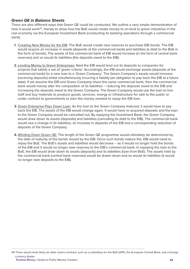#### *Green QE in Balance Sheets*

There are also different ways that Green QE could be conducted. We outline a very simple demonstration of how it would work**<sup>44</sup>**, merely to show how the BoE would create money to on-lend to green industries in the real economy via the European Investment Bank (conducting its banking operations through a commercial bank).

- **1.** Creating New Money for the EIB: The BoE would create new reserves to purchase EIB bonds. The EIB would acquire an increase in assets (deposits at the commercial bank) and liabilities (a debt to the BoE in the form of bonds). The assets of the commercial bank of EIB would increase (in the form of central bank reserves) and so would its liabilities (the deposits owed to the EIB).
- **2.** Lending Money to Green Enterprises: Next the EIB would lend out its deposits to companies for projects that satisfy a set of 'green criteria'. Accordingly, the EIB would exchange assets (deposits at the commercial bank) for a new loan to a 'Green Company'. The Green Company's assets would increase (receiving deposits) whilst simultaneously incurring a liability (an obligation to pay back the EIB at a future date). If we assume the EIB and Green Company share the same commercial bank, then the commercial bank would merely alter the composition of its liabilities – reducing the deposits owed to the EIB and increasing the deposits owed to the Green Company. The Green Company would use the loan to hire staff and buy materials to produce goods, services, energy or infrastructure for sale to the public or under contract to governments to earn the money needed to repay the EIB loan.
- **3.** Green Enterprise Pays Down Loan: As the loan to the Green Company matured, it would have to pay back the EIB. The assets of the EIB would change again. It would have re-acquired deposits and the loan to the Green Company would be cancelled out. By repaying the Investment Bank, the Green Company would draw down its assets (deposits) and liabilities (cancelling its debt to the EIB). The commercial bank would see a change in its liabilities, an increase in deposits of the EIB and a corresponding reduction of deposits of the Green Company.
- **4.** Winding Down Green QE: The length of the Green QE programme would ultimately be determined by the date of maturity of the bonds issued by the EIB. Once such bonds mature the, EIB would need to repay the BoE. The BoE's assets and liabilities would decrease – as it would no longer hold the bonds of the EIB and it would no longer owe reserves to the EIB's commercial bank. In repaying the loan to the BoE, the EIB would draw down its assets (deposits) and its liabilities (loan from BoE). The assets held by the commercial bank (central bank reserves) would be drawn down and so would its liabilities (it would no longer owe deposits to the EIB).

<sup>44</sup> There would most likely be other actors involved, such as a subsidiary for the BoE (APF), the European Central Bank, and a foreign currency dealer. **Positive Money** | Guide to Public Money Creation **43**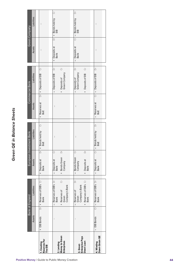# **Green QE in Balance Sheets** *Green QE in Balance Sheets*

|                                             |               | Bank of England                                               | European                                         | nvestment Bank                                                                                              |                                                                 | Commercial Bank                                     |                       | Green Company                                               |
|---------------------------------------------|---------------|---------------------------------------------------------------|--------------------------------------------------|-------------------------------------------------------------------------------------------------------------|-----------------------------------------------------------------|-----------------------------------------------------|-----------------------|-------------------------------------------------------------|
|                                             | Assets        | Liabilities                                                   | Assets                                           | Liabilities                                                                                                 | Assets                                                          | Liabilities                                         | Assets                | Liabilities                                                 |
| 1. Creating<br>Reserves For<br>The EIB      | + EIB Bonds   | Dr   + Reserves of EIB's Cr<br>Bank                           | Deposits at<br>Bank<br>$^{+}$                    | ŏ<br>$Dr \begin{vmatrix} + & \text{Bonds held by} \\ \text{BoE} \end{vmatrix}$                              | $\overline{\overline{\square}}$<br>Reserves at<br>BoE<br>$^{+}$ | ŏ<br>+ Deposits of EIB                              | $\vdots$              | $\vdots$                                                    |
|                                             | $\vdots$      | Reserves of EIB's Dr<br>Bank                                  | ŏ<br>Deposits at<br>Bank                         | $\vdots$                                                                                                    | $\vdots$                                                        | ă<br>Deposits of EIB                                | + Deposits at<br>Bank | Ğ<br>$Dr \mid +$ Bonds held by                              |
| 2. Lending<br>Money to Green<br>Enterprises |               | ŏ<br>Company's Bank<br>+ Reserves of<br>Green                 | $\overline{\square}$<br>+ Bonds Green<br>Company |                                                                                                             |                                                                 | $\overline{C}$<br>+ Deposits of<br>Green Company    |                       |                                                             |
|                                             |               |                                                               |                                                  |                                                                                                             |                                                                 |                                                     |                       |                                                             |
| 3. Green<br>Enterprise Pays                 | $\vdots$      | ă<br>Company's Bank<br>Reserves of<br>Green<br>$\overline{1}$ | ŏ<br>Bonds Green<br>Company<br>$\overline{1}$    | $\vdots$                                                                                                    | $\vdots$                                                        | ă<br>Deposits of<br>Green Company<br>$\overline{1}$ | - Deposits at<br>Bank | ă<br>Bonds held by<br>$\frac{10}{2}$<br>$rac{1}{\tilde{C}}$ |
| Down Loan                                   |               | + Reserves of EIB's Cr<br>Bank                                | ò<br>+ Deposits at<br>Bank                       |                                                                                                             |                                                                 | $\vec{C}$<br>+ Deposits of EIB                      |                       |                                                             |
|                                             |               |                                                               |                                                  |                                                                                                             |                                                                 |                                                     |                       |                                                             |
| Down Green QE<br>4. Winding                 | $-$ EIB Bonds | $Cr$   $-$ Reserves of EIB's $Dr$<br><b>Bank</b>              | Deposits at<br>Bank<br>$\overline{1}$            | ă<br>$\boxed{\begin{array}{c} \mathbb{C}^1 \ \mathsf{B} \mathsf{ondS} \ \mathsf{B} \mathsf{B} \end{array}}$ | Reserves at<br>BoE<br>$\overline{1}$                            | ò<br>$Cr$ $-$ Deposits of EIB                       | $\vdots$              | $\vdots$                                                    |
|                                             |               |                                                               |                                                  |                                                                                                             |                                                                 |                                                     |                       |                                                             |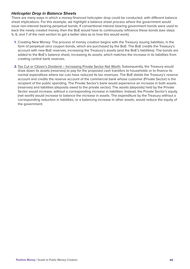#### *Helicopter Drop in Balance Sheets*

There are many ways in which a money-financed helicopter drop could be conducted, with different balance sheet implications. For this example, we highlight a balance sheet process where the government would issue non-interest bearing perpetual bonds. If conventional interest bearing government bonds were used to back the newly created money, then the BoE would have to continuously refinance these bonds (see steps 5, 6, and 7 of the next section to get a better idea as to how this would work).

- **1.** Creating New Money: The process of money creation begins with the Treasury issuing liabilities, in the form of perpetual zero coupon bonds, which are purchased by the BoE. The BoE credits the Treasury's account with new BoE reserves, increasing the Treasury's assets (and the BoE's liabilities). The bonds are added to the BoE's balance sheet, increasing its assets, which matches the increase in its liabilities from creating central bank reserves.
- **2.** Tax Cut or Citizen's Dividend Increasing Private Sector Net Worth: Subsequently, the Treasury would draw down its assets (reserves) to pay for the proposed cash transfers to households or to finance its normal expenditure where tax cuts have reduced its tax revenues. The BoE debits the Treasury's reserve account and credits the reserve account of the commercial bank whose customer (Private Sector) is the recipient of the public spending. The Private Sector's bank would experience an increase in both assets (reserves) and liabilities (deposits owed to the private sector). The assets (deposits) held by the Private Sector would increase, without a corresponding increase in liabilities. Instead, the Private Sector's equity (net worth) would increase to balance the increase in assets. The expenditure by the Treasury without a corresponding reduction in liabilities, or a balancing increase in other assets, would reduce the equity of the government.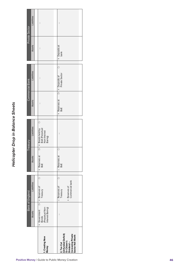# Helicopter Drop in Balance Sheets *Helicopter Drop in Balance Sheets*

|                 | Assets      | (Perpetual Non-<br>Interest Baring)<br>1. Creating New<br>Money      | $\vdots$<br>(Unfunded Deficit)<br>Or Citizen's<br>Dividend –<br>Increasing Private<br>Sector Net Worth<br>2. Tax Cut |
|-----------------|-------------|----------------------------------------------------------------------|----------------------------------------------------------------------------------------------------------------------|
|                 |             |                                                                      |                                                                                                                      |
| Bank of England | Liabilities | ð<br>+ Government Dr + Reserves of<br>Bonds                          | ŏ<br>Commercial bank<br>+ Reserves of<br>- Reserves of<br>Treasury                                                   |
|                 | Assets      | + Reserves at<br>BoE                                                 | Ò<br>- Reserves at<br>BoE                                                                                            |
| <b>Treasury</b> | Liabilities | ŏ<br>Dr + Bonds held by<br>BoE (Perpetual<br>Non-Interest<br>Baring) | $\vdots$                                                                                                             |
|                 | Assets      | $\vdots$                                                             | + Reserves at<br>BoE                                                                                                 |
| Commercial Bank | Liabilities | $\vdots$                                                             | ŏ<br>Dr   + Deposits of<br>  Private Sector                                                                          |
|                 | Assets      | $\vdots$                                                             | + Deposits at<br>bank                                                                                                |
| Private Sector  | Liabilities | $\vdots$                                                             | $\vdots$                                                                                                             |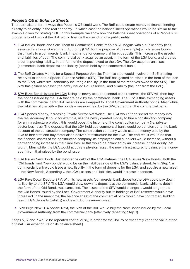#### *People's QE in Balance Sheets*

There are also different ways that People's QE could work. The BoE could create money to finance lending directly to an entity in the real economy - in which case the balance sheet operations would be similar to the example given for Strategic QE. In this example, we show how the balance sheet operations of a People's QE programe could work if the BoE would finance the spending of a public entity.

- **1.** LGA Issues Bonds and Sells Them to Commercial Bank: People's QE begins with a public entity (let's assume it's a Local Government Authority (LGA) for the purpose of this example) which issues bonds that it sells to a commercial bank in exchange for commercial bank deposits. This increases the assets and liabilities of both. The commercial bank acquires an asset, in the form of the LGA bond, and creates a corresponding liability, in the form of the deposit owed to the LGA. The LGA acquires an asset (commercial bank deposits) and liability (bonds held by the commercial bank).
- **2.** The BoE Creates Money for a Special Purpose Vehicle: The next step would involve the BoE creating reserves to lend to a Special Purpose Vehicle (SPV). The BoE has gained an asset (in the form of the loan to the SPV), whilst simultaneously incurring a liability (in the form of the reserves owed to the SPV). The SPV has gained an asset (the newly issued BoE reserves), and a liability (the loan from the BoE).
- **3.** SPV Buys Bonds Issued by LGA: Using its newly acquired central bank reserves, the SPV will then buy the bonds issued by the LGA that are held by the commercial bank. The SPV is thus exchanging assets with the commercial bank: BoE reserves are swapped for Local Government Authority bonds. Meanwhile, the liabilities of the LGA – the bonds – are now held by the SPV, rather than the commercial bank.
- **4.** LGA Spends Money, Increasing Private Sector Net Worth: The LGA would then spend the money into the real economy. It could for example, use the newly created money to hire a construction company for an infrastructure project; this would boost the income of the construction company (i.e. private sector business). The deposits that the LGA held at a commercial bank would be transferred to the bank account of the construction company. The construction company would use the money paid by the LGA to hire staff and buy materials to deliver infrastructure for the LGA. The end result would be that the financial assets of the construction company, its employees and suppliers would increase, without a corresponding increase in their liabilities, so this would be balanced by an increase in their equity (net worth). Meanwhile, the LGA would acquire a physical asset, the new infrastructure, to balance the money spent from that raised by the bond issue.
- **5.** LGA Issues New Bonds: Just before the debt of the LGA matures, the LGA issues 'New Bonds'. Both the 'Old bonds' and 'New bonds' would be on the liabilities side of the LGA's balance sheet. As in Step 1, a commercial bank would issue a new liability in the form of deposits for the LGA, and acquire a new asset – the New Bonds. Accordingly, the LGA's assets and liabilities would increase in tandem.
- **6.** LGA Pays Down Debt to SPV: With its new assets (commercial bank deposits) the LGA could pay down its liability to the SPV. The LGA would draw down its deposits at the commercial bank, while its debt in the form of the Old Bonds was cancelled. The assets of the SPV would change: it would longer hold the Old Bonds issued by the Local Government Authority but its holdings of BoE reserves would have increased. In the meantime, the balance sheet of the commercial bank would have contracted, holding less in LGA deposits (liability) and less in BoE reserves (asset).
- **7.** SPV Buys New LGA bonds: Next, the SPV of the BoE would buy the New Bonds issued by the Local Government Authority, from the commercial bank (effectively repeating Step 3).

(Steps 5, 6, and 7 would be repeated continuously, in order for the BoE to permanently keep the value of the original LGA expenditure on its balance sheet.)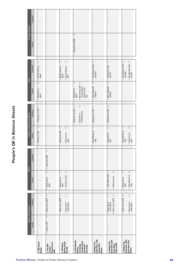# People's QE in Balance Sheets *People's QE in Balance Sheets*

| Assets<br>$\vdots$                | Bank of England<br>Liabilities                                                                          | SPV<br>Assets                                                         | Liabilities          | Dr<br>+ Bonds of LGA<br>Assets                                             | + Deposits of LGA Cr<br>LGA's Commercial Bank<br>Liabilities                        | ă<br>Assets<br>$\overline{+}$                                                                                     | ò<br>Liabilities<br>LGA                                                             | Assets                  | Liabilities<br>Private Sector |
|-----------------------------------|---------------------------------------------------------------------------------------------------------|-----------------------------------------------------------------------|----------------------|----------------------------------------------------------------------------|-------------------------------------------------------------------------------------|-------------------------------------------------------------------------------------------------------------------|-------------------------------------------------------------------------------------|-------------------------|-------------------------------|
|                                   | $\vdots$                                                                                                | $\vdots$                                                              | $\vdots$             |                                                                            |                                                                                     | Deposits at<br>Bank                                                                                               | + Bonds held by<br>Bank                                                             | $\vdots$                | $\vdots$                      |
| $\overline{D}$ r<br>+ Loan to SPV | b<br>+ Reserves of SPV                                                                                  | ă<br>Reserves at<br>BoE<br>$^{+}$                                     | þ<br>+ Loan from BoE | $\vdots$                                                                   | $\vdots$                                                                            | $\vdots$                                                                                                          | $\vdots$                                                                            | $\vdots$                | $\colon$                      |
| $\colon$                          | $\overline{C}$<br>Reserves of SPV Dr<br>Reserves of<br>LGAs Bank<br>$\overline{1}$<br>$^{+}$            | ò<br>ă<br>+ Bonds of LGA<br>Reserves at<br>BoE<br>$\overline{1}$      | $\vdots$             | Ò<br>ă<br>- Bonds of LGA<br>Reserves at<br>BoE<br>$^{+}$                   | $\vdots$                                                                            | $\colon$                                                                                                          | ŏ<br>Ò<br>Bonds held by<br>SPV<br>Bonds held by<br>Bank<br>$^{+}$<br>$\overline{1}$ | $\vdots$                | $\colon$                      |
| $\colon$                          | $\vdots$                                                                                                | ÷                                                                     | $\colon$             | $\vdots$                                                                   | $\overleftarrow{\Box}$<br>ò<br>- Deposits of LGA<br>+ Deposits of<br>Private Sector | $\circ$<br>+ (Accruing value Dr<br>of real assets<br>delivered by<br>QE)<br>Deposits at<br>Bank<br>$\overline{1}$ | $\vdots$                                                                            | ò<br>+ Deposits at Bank | $\colon$                      |
| $\colon$                          | $\colon$                                                                                                |                                                                       | $\vdots$             | ò<br>New Bonds of<br>LGA<br>$^{+}$                                         | Ò<br>+ Deposits of LGA                                                              | ò<br>+ New Deposits<br>at Bank                                                                                    | Ò<br>+ New Bonds held<br>by Bank                                                    | $\vdots$                | $\vdots$                      |
| $\vdots$                          | $\overleftarrow{C}$<br>ă<br>Reserves of SPV<br>Reserves of<br>LGA's Bank<br>$\overline{1}$<br>$\ddot{}$ | ă<br>Old LGA bonds Cr<br>+ BoE reserves<br>$\overline{\phantom{a}}$   | $\vdots$             | Reserves at<br>BoE<br>$\overline{1}$                                       | ò<br>$Cr$ $-$ Deposits of LGA                                                       | Gr<br>- New Deposits<br>at Bank                                                                                   | ò<br>- Old bonds held<br>by SPV                                                     | $\vdots$                | $\vdots$                      |
| ŧ                                 | $\overline{C}$<br>Reserves of SPV Dr<br>+ Reserves of<br>LGAs Bank<br>$\mathbf{I}$                      | ò<br>ă<br>+ New Bonds of<br>LGA<br>Reserves at<br>BoE<br>$\mathsf{I}$ | $\vdots$             | ð<br>ò<br>New Bonds of<br>LGA<br>Reserves at<br>BoE<br>$\bar{1}$<br>$^{+}$ | $\vdots$                                                                            | $\vdots$                                                                                                          | - New Bonds held Dr<br>by Bank<br>+ New Bonds held Cr<br>by SPV                     | $\vdots$                | $\vdots$                      |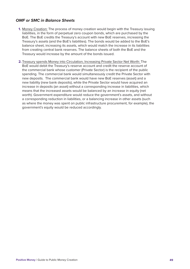#### *OMF or SMC in Balance Sheets*

- **1.** Money Creation: The process of money creation would begin with the Treasury issuing liabilities, in the form of perpetual zero coupon bonds, which are purchased by the BoE. The BoE credits the Treasury's account with new BoE reserves, increasing the Treasury's assets (and the BoE's liabilities). The bonds would be added to the BoE's balance sheet, increasing its assets, which would match the increase in its liabilities from creating central bank reserves. The balance sheets of both the BoE and the Treasury would increase by the amount of the bonds issued.
- **2.** Treasury spends Money into Circulation, Increasing Private Sector Net Worth: The BoE would debit the Treasury's reserve account and credit the reserve account of the commercial bank whose customer (Private Sector) is the recipient of the public spending. The commercial bank would simultaneously credit the Private Sector with new deposits. The commercial bank would have new BoE reserves (asset) and a new liability (new bank deposits), while the Private Sector would have acquired an increase in deposits (an asset) without a corresponding increase in liabilities, which means that the increased assets would be balanced by an increase in equity (net worth). Government expenditure would reduce the government's assets, and without a corresponding reduction in liabilities, or a balancing increase in other assets (such as where the money was spent on public infrastructure procurement, for example), the government's equity would be reduced accordingly.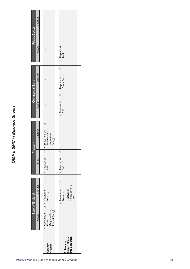# OMF & SMC in Balance Sheets *OMF & SMC in Balance Sheets*

| Private Sector         | Liabilities | $\vdots$                                                             | $\vdots$                                                                    |
|------------------------|-------------|----------------------------------------------------------------------|-----------------------------------------------------------------------------|
|                        | Assets      | $\vdots$                                                             | + Deposits at<br>bank                                                       |
| Commercial Bank        | Liabilities | $\vdots$                                                             | à<br>Dr   + Deposits of<br>  Private Sector                                 |
|                        | Assets      | $\vdots$                                                             | + Reserves at<br>BoE                                                        |
| <b>Leasury</b>         | Liabilities | Ğ<br>Dr + Bonds held by<br>BoE (Perpetual<br>Non-Interest<br>Baring) | ።                                                                           |
|                        | Assets      | + Reserves at<br>BoE                                                 | ð<br>Reserves at<br>BoE                                                     |
| <b>Bank of England</b> | Liabilities | Cr<br>$Dr$ + Reserves of<br>Treasury                                 | ŏ<br>1 + Reserves of<br>Private Sector's<br>bank<br>Reserves of<br>Treasury |
|                        | Assets      | + Government  <br>Bonds<br> Perpetual Non-<br>  Interest Baring)     |                                                                             |
|                        |             | 1. Money<br>Creation                                                 | 2. Treasury<br>Spends Money<br>Into Circulation                             |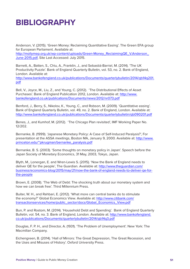## **BIBLIOGRAPHY**

Anderson, V. (2015). 'Green Money: Reclaiming Quantitative Easing'. The Green EFA group for European Parliament. Available at:

http://mollymep.org.uk/wp-content/uploads/Green-Money\_ReclaimingQE\_V.Anderson\_ June-2015.pdf, Site Last Accessed: July 2015.

Barnett, A., Batten, S., Chiu, A., Franklin, J., and Sebastiá-Barriel, M. (2014). 'The UK Productivity Puzzle'. Bank of England Quarterly Bulletin, vol. 53, no. 2. Bank of England, London. Available at:

http://www.bankofengland.co.uk/publications/Documents/quarterlybulletin/2014/qb14q201. pdf

Bell, V., Joyce, M., Liu, Z., and Young, C. (2012). 'The Distributional Effects of Asset Purchases'. Bank of England Publication 2012, London. Available at: http://www. bankofengland.co.uk/publications/Documents/news/2012/nr073.pdf

Benford, J., Berry, S., Nikolov, K., Young, C., and Robson, M. (2009). 'Quantitative easing'. Bank of England Quarterly Bulletin, vol. 49, no. 2. Bank of England, London. Available at: http://www.bankofengland.co.uk/publications/Documents/quarterlybulletin/qb090201.pdf

Benes, J., and Kumhof, M. (2012). 'The Chicago Plan revisited', IMF Working Paper No. 12/202.

Bernanke, B. (1999). 'Japanese Monetary Policy: A Case of Self-Induced Paralysis?', For presentation at the ASSA meetings, Boston MA, January 9, 2000. Available at: http://www. princeton.edu/~pkrugman/bernanke\_paralysis.pdf

Bernanke, B. S. (2003). 'Some thoughts on monetary policy in Japan'. Speech before the Japan Society of Monetary Economics, 31 May, 2003, Tokyo, Japan.

Blyth, M., Lonergan, E. and Wren-Lewis S. (2015). 'Now the Bank of England needs to deliver QE for the people', The Guardian. Available at: http://www.theguardian.com/ business/economics-blog/2015/may/21/now-the-bank-of-england-needs-to-deliver-qe-forthe-people

Brown, E. (2008). 'The Web of Debt: The shocking truth about our monetary system and how we can break free'. Third Millennium Press.

Buiter, W. H., and Rahbari, E. (2012). 'What more can central banks do to stimulate the economy?' Global Economics View. Available at: http://www.citibank.com/ transactionservices/home/public\_sector/docs/Global\_Economics\_View.pdf

Bun, P. and Rostom, M. (2014). 'Household Debt and Spending'. Bank of England Quarterly Bulletin, vol. 54, no. 3. Bank of England, London. Available at: http://www.bankofengland. co.uk/publications/Documents/quarterlybulletin/2014/qb14q3.pdf

Douglas, F. P. H., and Director, A. (1931). 'The Problem of Unemployment'. New York: The Macmillan Company.

Eichengreen, B. (2014). 'Hall of Mirrors: The Great Depression, The Great Recession, and the Uses and Misuses of History'. Oxford University Press.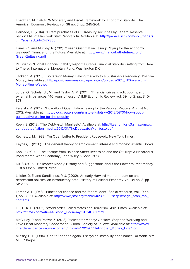Friedman, M. (1948). 'A Monetary and Fiscal Framework for Economic Stability'. The American Economic Review, vol. 38 no. 3, pp. 245-264.

Garbade, K. (2014). 'Direct purchases of US Treasury securities by Federal Reserve banks'. FRB of New York Staff Report 684. Available at: http://papers.ssrn.com/sol3/papers. cfm?abstract\_id=2477858

Hines, C., and Murphy, R. (2011). 'Green Quantitative Easing: Paying for the economy we need'. Finance for the Future. Available at: http://www.financeforthefuture.com/ GreenQuEasing.pdf

IMF (2012). 'Global Financial Stability Report: Durable Financial Stability, Getting from Here to There'. International Monetary Fund, Washington D.C.

Jackson, A. (2013). 'Sovereign Money: Paving the Way to a Sustainable Recovery'. Positive Money. Available at: http://positivemoney.org/wp-content/uploads/2013/11/Sovereign-Money-Final-Web.pdf

Jorda, O., Schularick, M., and Taylor, A. M. (2011). 'Financial crises, credit booms, and external imbalances: 140 years of lessons', IMF Economic Review, vol. 59 no, 2, pp. 340- 378.

Kaletsky, A. (2012). 'How About Quantitative Easing for the People'. Reuters, August 1st 2012. Available at: http://blogs.reuters.com/anatole-kaletsky/2012/08/01/how-aboutquantitative-easing-for-the-people/

Keen, S. (2012). 'The Debtwatch Manifesto'. Available at: http://keenomics.s3.amazonaws. com/debtdeflation\_media/2012/01/TheDebtwatchManifesto.pdf

Keynes, J. M. (1933). 'An Open Letter to President Roosevelt'. New York Times.

Keynes, J. (1936). 'The general theory of employment, interest and money'. Atlantic Books.

Koo, R. (2014). 'The Escape from Balance Sheet Recession and the QE Trap: A Hazardous Road for the World Economy', John Wiley & Sons, 2014.

Ku, S. (2015). 'Helicopter Money: History and Suggestions about the Power to Print Money'. Just & Open Limited Press.

Laidler, D. E. and Sandilands, R. J. (2002). 'An early Harvard memorandum on antidepression policies: an introductory note'. History of Political Economy, vol. 34 no. 3, pp. 515-532.

Lerner, A. P. (1943). 'Functional finance and the federal debt'. Social research, Vol. 10 no. 1, pp. 38-51. Available at: http://www.jstor.org/stable/40981939?seq=1#page\_scan\_tab\_ contents

Liu, C. K. H. (2005). 'World order, Failed states and Terrorism'. Asia Times. Available at: http://atimes.com/atimes/Global\_Economy/GE24Dj01.html

McCulley, P. and Poszar, Z. (2013). 'Helicopter Money: Or How I Stopped Worrying and Love Fiscal-Monetary Cooperation'. Global Society of Fellows. Available at: https://www. interdependence.org/wp-content/uploads/2013/01/Helicopter\_Money\_Final1.pdf

Minsky, H. P. (1984). 'Can "it" happen again? Essays on instability and finance'. Armonk, NY: M. E. Sharpe.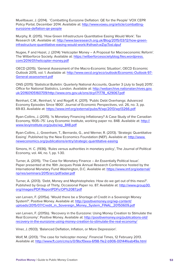Muellbauer, J. (2014). 'Combatting Eurozone Deflation: QE for the People' VOX CEPR Policy Portal, December 2014. Available at: http://www.voxeu.org/article/combattingeurozone-deflation-qe-people

Murphy, R. (2015). 'How Green Infrastructure Quantitative Easing Would Work'. Tax Research UK. Available at: http://www.taxresearch.org.uk/Blog/2015/03/12/how-greeninfrastructure-quantitative-easing-would-work/#sthash.wZqcTosl.dpuf

Nugee, F and Hazel, J. (2014) 'Helicopter Money – A Proposal for Macroeconomic Reform'. The Wilberforce Society. Available at: https://wilberforcesocietyblog.files.wordpress. com/2014/01/helicopter-money.pdf

OECD (2015). 'General Assessment of the Macro-Economic Situation', OECD Economic Outlook 2015, vol. 1. Available at: http://www.oecd.org/eco/outlook/Economic-Outlook-97- General-assessment.pdf

ONS (2015) 'Statistical Bulletin: Quarterly National Accounts, Quarter 3 (July to Sept) 2015'. Office for National Statistics, London. Available at: http://webarchive.nationalarchives.gov. uk/20160105160709/http://www.ons.gov.uk/ons/dcp171778\_429067.pdf

Reinhart, C.M., Reinhart, V. and Rogoff, K. (2011). 'Public Debt Overhangs: Advanced Economy Episodes Since 1800'. Journal of Economic Perspectives, vol. 26, no. 3, pp. 69-83. Available at: https://www.imf.org/external/pubs/ft/wp/2013/wp13266.pdf

Ryan-Collins, J. (2015). 'Is Monetary Financing Inflationary? A Case Study of the Canadian Economy, 1935–75'. Levy Economic Institute, working paper no. 848. Available at: http:// www.levyinstitute.org/pubs/wp\_848.pdf

Ryan-Collins, J., Greenham, T., Bernardo, G., and Werner, R. (2013). 'Strategic Quantitative Easing'. Published by the New Economics Foundation (NEF). Available at: http://www. neweconomics.org/publications/entry/strategic-quantitative-easing

Simons, H. C. (1936). 'Rules versus authorities in monetary policy', The Journal of Political Economy, vol. 44, no. 1, pp. 1-30.

Turner, A. (2015). 'The Case for Monetary Finance – An Essentially Political Issue'. Paper presented at the 16th Jacques Polak Annual Research Conference hosted by the International Monetary Fund Washington, D.C. Available at: https://www.imf.org/external/ np/res/seminars/2015/arc/pdf/adair.pdf

Turner, A. (2013). 'Debt, Money and Mephistopheles: How do we get out of this mess?'. Published by Group of Thirty, Occasional Paper no. 87. Available at: http://www.group30. org/images/PDF/ReportPDFs/OP%2087.pdf

van Lerven, F. (2015a). 'Would there be a Shortage of Credit in a Sovereign Money System?'. Positive Money. Available at: http://positivemoney.org/wp-content/ uploads/2015/07/Credit\_in\_Sovereign\_Money\_System\_FINAL\_20150609.pdf

van Lerven, F. (2015b). 'Recovery in the Eurozone: Using Money Creation to Stimulate the Real Economy'. Positive Money. Available at: http://positivemoney.org/publications-old/ recovery-in-the-eurozone-using-money-creation-to-stimulate-the-real-economy/

Viner, J. (1933). 'Balanced Deflation, Inflation, or More Depression'.

Wolf, M. (2013). 'The case for helicopter money'. Financial Times, 12 February 2013. Available at: http://www.ft.com/cms/s/0/9bcf0eea-6f98-11e2-b906-00144feab49a.html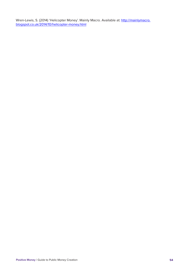Wren-Lewis, S. (2014) 'Helicopter Money'. Mainly Macro. Available at: <u>http://mainlymacro.</u> blogspot.co.uk/2014/10/helicopter-money.html